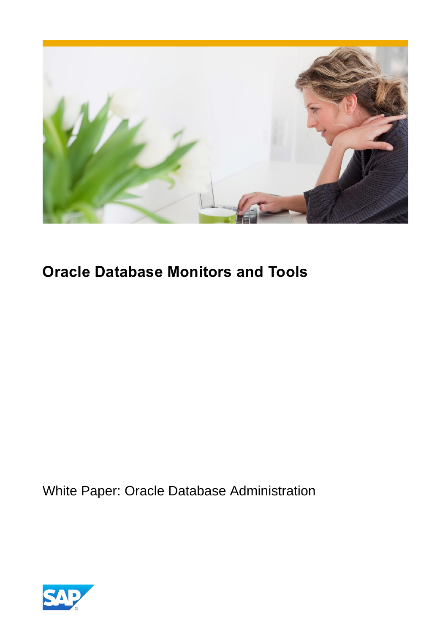

# **Oracle Database Monitors and Tools**

White Paper: Oracle Database Administration

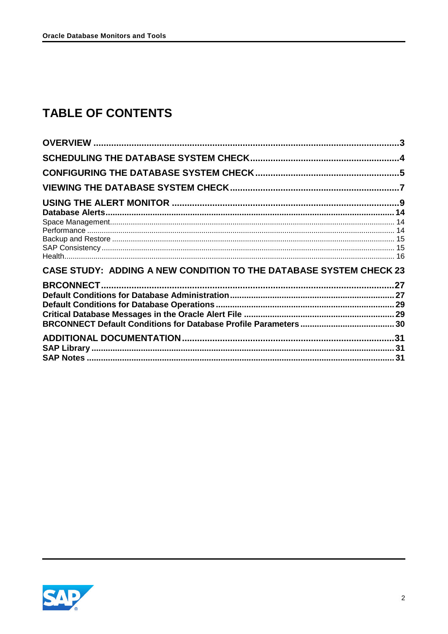# **TABLE OF CONTENTS**

| CASE STUDY: ADDING A NEW CONDITION TO THE DATABASE SYSTEM CHECK 23 |  |
|--------------------------------------------------------------------|--|
|                                                                    |  |
|                                                                    |  |
|                                                                    |  |
|                                                                    |  |
|                                                                    |  |
|                                                                    |  |
|                                                                    |  |
|                                                                    |  |

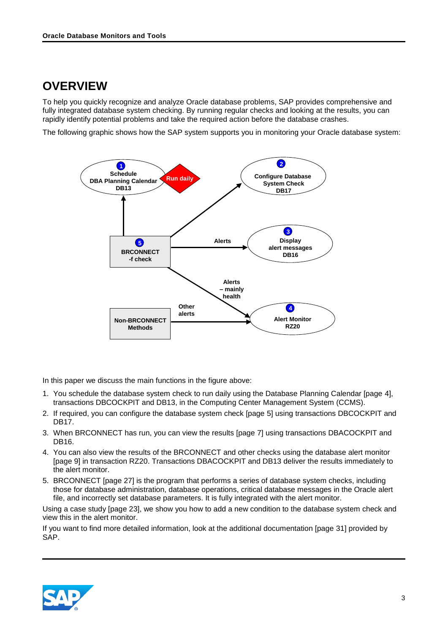# <span id="page-2-0"></span>**OVERVIEW**

To help you quickly recognize and analyze Oracle database problems, SAP provides comprehensive and fully integrated database system checking. By running regular checks and looking at the results, you can rapidly identify potential problems and take the required action before the database crashes.

The following graphic shows how the SAP system supports you in monitoring your Oracle database system:



In this paper we discuss the main functions in the figure above:

- 1. You schedule the database system check to run daily using the Database Planning Calendar [page [4\],](#page-3-0) transactions DBCOCKPIT and DB13, in the Computing Center Management System (CCMS).
- 2. If required, you can configure the database system check [page [5\]](#page-4-0) using transactions DBCOCKPIT and DB17.
- 3. When BRCONNECT has run, you can view the results [page [7\]](#page-6-0) using transactions DBACOCKPIT and DB16.
- 4. You can also view the results of the BRCONNECT and other checks using the database alert monitor [page [9\]](#page-8-0) in transaction RZ20. Transactions DBACOCKPIT and DB13 deliver the results immediately to the alert monitor.
- 5. BRCONNECT [page [27\]](#page-26-0) is the program that performs a series of database system checks, including those for database administration, database operations, critical database messages in the Oracle alert file, and incorrectly set database parameters. It is fully integrated with the alert monitor.

Using a case study [page [23\]](#page-22-0), we show you how to add a new condition to the database system check and view this in the alert monitor.

If you want to find more detailed information, look at the additional documentation [page [31\]](#page-30-0) provided by SAP.

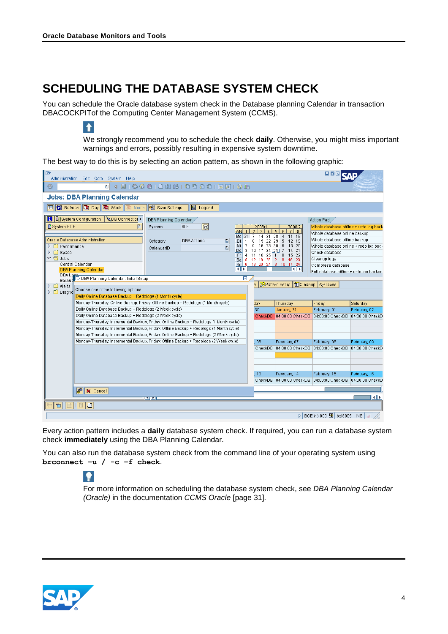$\uparrow$ 

# <span id="page-3-0"></span>**SCHEDULING THE DATABASE SYSTEM CHECK**

You can schedule the Oracle database system check in the Database planning Calendar in transaction DBACOCKPITof the Computing Center Management System (CCMS).

> We strongly recommend you to schedule the check **daily**. Otherwise, you might miss important warnings and errors, possibly resulting in expensive system downtime.

The best way to do this is by selecting an action pattern, as shown in the following graphic:

| E<br>Administration Edit Goto System Help                                              |                                     |                                                      | $\square \boxdot \boxtimes$                               |                           |
|----------------------------------------------------------------------------------------|-------------------------------------|------------------------------------------------------|-----------------------------------------------------------|---------------------------|
| 4910001888120000180108<br>Ø<br>ē۱                                                      |                                     |                                                      |                                                           |                           |
| <b>Jobs: DBA Planning Calendar</b>                                                     |                                     |                                                      |                                                           |                           |
| S Refresh   脑 Day   脑 Week  <br>Save Settings<br>图 Legend<br><b>la</b> Month           |                                     |                                                      |                                                           |                           |
|                                                                                        |                                     |                                                      |                                                           |                           |
| <b>H D</b> System Configuration<br><b>QDB</b> Connection<br>DBA Planning Calendar      |                                     |                                                      | Action Pad                                                |                           |
| System BCE<br>$\Theta$<br>e<br><b>BCE</b><br>System                                    | 2008/1                              | 2008/2<br>7 8                                        | Whole database offline + redo log back                    |                           |
| Mo                                                                                     | 21                                  | 28<br>11 18                                          | Whole database online backup                              |                           |
| Oracle Database Administration<br><b>DBA Actions</b><br>画<br>Category<br>Di            | 22 29<br>15                         | 5<br>12 19                                           | Whole database offline backup                             |                           |
| $\Box$ Performance<br>Mi<br>ū<br>CalendarID<br>Do                                      | 23<br>9<br>16<br>24 31 <br>10<br>17 | 30<br>$6\overline{6}$<br>13 20<br>14 21<br>-7        | Whole database online + redo log back                     |                           |
| $\Box$ Space<br>$\triangleright$<br>Fr<br>$\triangledown$ $\bigodot$ Jobs              | 11 18 25                            | 15 22<br>8                                           | Check database                                            |                           |
| Sa<br>5<br>Central Calendar<br>6<br>So                                                 | 12 19<br>26                         | 16 23<br>$\overline{2}$<br>-9<br>13 20 27 3 10 17 24 | Cleanup logs<br>Compress database                         |                           |
| HІЫ<br><b>DBA Planning Calendar</b>                                                    |                                     | बाह                                                  | Full database offline + redo log backun                   |                           |
| DBA Loge<br>Dackur E DBA Planning Calendar: Initial Setup<br>⊠                         |                                     |                                                      |                                                           |                           |
| $\Box$ Alerts                                                                          |                                     | Pattern Setup   Cleanup   & Tapes                    |                                                           |                           |
| Choose one of the following options:<br>$\Box$ Diagnd                                  |                                     |                                                      |                                                           |                           |
| Daily Online Database Backup + Redologs (1 Month cycle)                                |                                     |                                                      |                                                           |                           |
| Monday-Thursday: Online Backup, Friday: Offline Backup + Redologs (1 Month cycle)      | day                                 | Thursday                                             | Friday                                                    | Saturday                  |
| Daily Online Database Backup + Redologs (2 Week cycle)                                 | 30                                  | January, 31                                          | February, 01                                              | February, 02              |
| Daily Online Database Backup + Redologs (2 Week cycle)                                 | CheckDB                             |                                                      | 04:00:00 CheckDB 04:00:00 CheckDB 04:00:00 CheckD         |                           |
| Monday-Thursday: Incremental Backup, Friday: Online Backup + Redologs (1 Month cycle)  |                                     |                                                      |                                                           |                           |
| Monday-Thursday: Incremental Backup, Friday: Offline Backup + Redologs (1 Month cycle) |                                     |                                                      |                                                           |                           |
| Monday-Thursday: Incremental Backup, Friday: Online Backup + Redologs (2 Week cycle)   |                                     |                                                      |                                                           |                           |
| Monday-Thursday: Incremental Backup, Friday: Offline Backup + Redologs (2 Week cycle)  | 06                                  | February, 07                                         | February, 08                                              | February, 09              |
|                                                                                        |                                     |                                                      |                                                           |                           |
|                                                                                        |                                     |                                                      |                                                           |                           |
|                                                                                        |                                     |                                                      |                                                           |                           |
|                                                                                        | 13                                  | February, 14                                         | February, 15                                              | February, 16              |
|                                                                                        |                                     |                                                      |                                                           |                           |
|                                                                                        |                                     |                                                      |                                                           |                           |
| $\sqrt{S}$ $\times$ Cancel                                                             |                                     |                                                      |                                                           |                           |
| ME                                                                                     |                                     |                                                      |                                                           | $\overline{\blacksquare}$ |
| 日<br>헌                                                                                 |                                     |                                                      |                                                           |                           |
|                                                                                        |                                     |                                                      | $\triangleright$ BCE (1) 000 $\blacksquare$ bsi8005   INS |                           |

Every action pattern includes a **daily** database system check. If required, you can run a database system check **immediately** using the DBA Planning Calendar.

You can also run the database system check from the command line of your operating system using **brconnect –u / -c –f check**.

# $| \, \bullet \, |$

For more information on scheduling the database system check, see *DBA Planning Calendar (Oracle)* in the documentation *CCMS Oracle* [page [31\]](#page-30-0)*.*

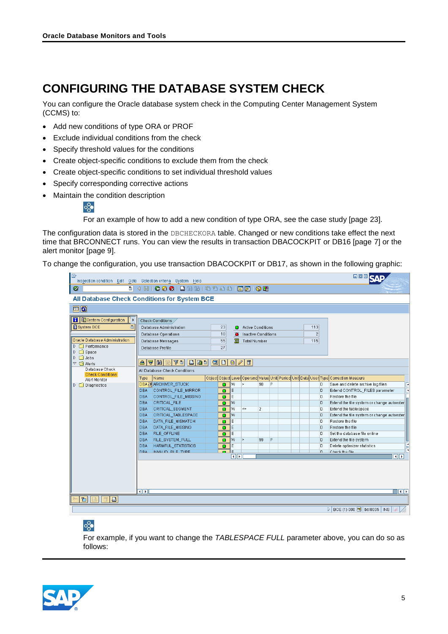# <span id="page-4-0"></span>**CONFIGURING THE DATABASE SYSTEM CHECK**

You can configure the Oracle database system check in the Computing Center Management System (CCMS) to:

- Add new conditions of type ORA or PROF
- Exclude individual conditions from the check
- Specify threshold values for the conditions
- Create object-specific conditions to exclude them from the check
- Create object-specific conditions to set individual threshold values
- Specify corresponding corrective actions
- Maintain the condition description



For an example of how to add a new condition of type ORA, see the case study [page [23\]](#page-22-0).

The configuration data is stored in the DBCHECKORA table. Changed or new conditions take effect the next time that BRCONNECT runs. You can view the results in transaction DBACOCKPIT or DB16 [page [7\]](#page-6-0) or the alert monitor [page [9\]](#page-8-0).

To change the configuration, you use transaction DBACOCKPIT or DB17, as shown in the following graphic:

| E                                                                                                                                                                                                                       | Inspection condition Edit Goto Selection criteria System Help                                               |                      |                                                                 |                     |                                                                                           | <b>ODE SAF</b>                                                                                   |
|-------------------------------------------------------------------------------------------------------------------------------------------------------------------------------------------------------------------------|-------------------------------------------------------------------------------------------------------------|----------------------|-----------------------------------------------------------------|---------------------|-------------------------------------------------------------------------------------------|--------------------------------------------------------------------------------------------------|
| Ø<br>画                                                                                                                                                                                                                  |                                                                                                             |                      |                                                                 |                     |                                                                                           |                                                                                                  |
|                                                                                                                                                                                                                         | All Database Check Conditions for System BCE                                                                |                      |                                                                 |                     |                                                                                           |                                                                                                  |
| 回回                                                                                                                                                                                                                      |                                                                                                             |                      |                                                                 |                     |                                                                                           |                                                                                                  |
| <b>H</b> EBystem Configuration<br>$\blacktriangleright$<br>System BCE<br>旧<br>Oracle Database Administration<br>$\triangleright$ $\square$ Performance<br>$\triangleright$ $\Box$ Space<br>$\triangleright$ $\Box$ Jobs | Check Conditions<br>Database Administration<br>Database Operations<br>Database Messages<br>Database Profile | 23<br>10<br>55<br>27 | <b>Active Conditions</b><br>о<br>$\bullet$<br>宻<br>Total Number | Inactive Conditions | 113<br>$\overline{2}$<br>115                                                              |                                                                                                  |
| $\triangledown$ $\bigodot$ Alerts<br>Database Check<br><b>Check Conditions</b>                                                                                                                                          | 870 M M TO B B D 3 D 8 / 8<br>All Database Check Conditions                                                 |                      |                                                                 |                     |                                                                                           |                                                                                                  |
| <b>Alert Monitor</b><br>$\triangleright$ $\square$ Diagnostics                                                                                                                                                          | Name<br>Type<br><b>DBA B</b> ARCHIVER_STUCK<br>DBA                                                          | ō                    | lw<br>$\geq$                                                    | P<br>90             | Object Object Level Operand Value Unit Period Unit Date User Type Correction Measure<br>D | Save and delete archive log files<br>×<br>E                                                      |
|                                                                                                                                                                                                                         | CONTROL_FILE_MIRROR<br>CONTROL FILE MISSING<br><b>DBA</b><br>DBA<br>CRITICAL FILE                           | o<br>۰<br>Ω.         | E<br>E<br>lw                                                    |                     | D<br>D<br>D                                                                               | Extend CONTROL_FILES parameter<br>Restore the file<br>Extend the file system or change autoexter |
|                                                                                                                                                                                                                         | CRITICAL SEGMENT<br>DBA<br>DBA<br>CRITICAL_TABLESPACE                                                       | n<br>n               | W<br>$\leq$<br>W                                                | $\overline{2}$      | D<br>D                                                                                    | Extend the tablespace<br>Extend the file system or change autoexter                              |
|                                                                                                                                                                                                                         | DBA<br>DATA_FILE_MISMATCH<br>DBA<br>DATA_FILE_MISSING<br>DBA FILE_OFFLINE                                   | ο<br>n<br>n          | E<br>E<br>E                                                     |                     | ID.<br>D<br>D                                                                             | Restore the file<br>Restore the file<br>Set the database file online                             |
|                                                                                                                                                                                                                         | DBA FILE SYSTEM FULL<br>HARMFUL_STATISTICS<br>DBA                                                           | n<br>o               | W<br>$\gg$<br>E                                                 | 99<br>P             | D<br>D                                                                                    | Extend the file system<br>E<br>Delete optimizer statistics                                       |
|                                                                                                                                                                                                                         | INMALID FILE TYPE<br>DBA.                                                                                   | ole                  | बाह                                                             |                     | In.                                                                                       | Check the file<br>$\overline{ \cdot }$                                                           |
|                                                                                                                                                                                                                         | $\overline{\mathbf{H}}$                                                                                     |                      |                                                                 |                     |                                                                                           | वा⊧                                                                                              |
| lə.<br>die                                                                                                                                                                                                              |                                                                                                             |                      |                                                                 |                     |                                                                                           |                                                                                                  |
|                                                                                                                                                                                                                         |                                                                                                             |                      |                                                                 |                     |                                                                                           | BCE (1) 000 H bsi8005 INS<br>D                                                                   |

### $\circ_{\circ}^{\circ}$

For example, if you want to change the *TABLESPACE FULL* parameter above, you can do so as follows:

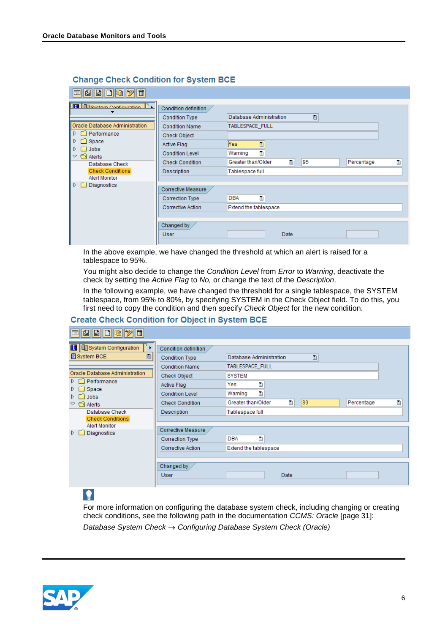| $ \mathscr{D} $ iii<br>$ \mathbf{E}  \mathbf{E} $<br>BID 6 |                        |                         |    |            |   |
|------------------------------------------------------------|------------------------|-------------------------|----|------------|---|
| <b>H BR</b> System Configuration<br>n.                     | Condition definition   |                         |    |            |   |
|                                                            | <b>Condition Type</b>  | Database Administration | 画  |            |   |
| Oracle Database Administration                             | <b>Condition Name</b>  | TABLESPACE_FULL         |    |            |   |
| Performance<br>ID.                                         | Check Object           |                         |    |            |   |
| I D.<br>Space<br>ID.<br><b>Jobs</b>                        | Active Flag            | <b>Yes</b><br>画         |    |            |   |
| Alerts<br>$\triangledown$                                  | <b>Condition Level</b> | 圍<br>Warning            |    |            |   |
| Database Check                                             | <b>Check Condition</b> | 画<br>Greater than/Older | 95 | Percentage | ē |
| <b>Check Conditions</b>                                    | Description            | Tablespace full         |    |            |   |
| Alert Monitor                                              |                        |                         |    |            |   |
| Diagnostics<br>ID.                                         | Corrective Measure     |                         |    |            |   |
|                                                            | <b>Correction Type</b> | <b>DBA</b><br>囼         |    |            |   |
|                                                            | Corrective Action      | Extend the tablespace   |    |            |   |
|                                                            |                        |                         |    |            |   |
|                                                            | Changed by             |                         |    |            |   |
|                                                            | <b>User</b>            | Date                    |    |            |   |
|                                                            |                        |                         |    |            |   |

#### **Change Check Condition for System BCE**

In the above example, we have changed the threshold at which an alert is raised for a tablespace to 95%.

You might also decide to change the *Condition Level* from *Error* to *Warning*, deactivate the check by setting the *Active Flag* to *No,* or change the text of the *Description*.

In the following example, we have changed the threshold for a single tablespace, the SYSTEM tablespace, from 95% to 80%, by specifying SYSTEM in the Check Object field. To do this, you first need to copy the condition and then specify *Check Object* for the new condition.

#### **Create Check Condition for Object in System BCE**

| 1916 1<br>idigiyi<br>圃<br>E                                      |                        |                                                  |
|------------------------------------------------------------------|------------------------|--------------------------------------------------|
| System Configuration<br>Н                                        | Condition definition   |                                                  |
| System BCE<br>Ie                                                 | <b>Condition Type</b>  | 圁<br>Database Administration                     |
|                                                                  | <b>Condition Name</b>  | TABLESPACE_FULL                                  |
| Oracle Database Administration                                   | Check Object           | <b>SYSTEM</b>                                    |
| $\triangleright$ $\square$ Performance                           | Active Flag            | 画<br>Yes                                         |
| $\triangleright$ $\square$ Space<br>$\triangleright$ $\Box$ Jobs | <b>Condition Level</b> | 囼<br>Warning                                     |
| $\triangledown$ $\bigcirc$ Alerts                                | <b>Check Condition</b> | 画<br>80<br>Greater than/Older<br>Ū<br>Percentage |
| Database Check                                                   | Description            | Tablespace full                                  |
| <b>Check Conditions</b>                                          |                        |                                                  |
| Alert Monitor<br>Diagnostics<br>D.                               | Corrective Measure     |                                                  |
|                                                                  | Correction Type        | <b>DBA</b><br>ū                                  |
|                                                                  | Corrective Action      | Extend the tablespace                            |
|                                                                  |                        |                                                  |
|                                                                  | Changed by             |                                                  |
|                                                                  | <b>User</b>            | <b>Date</b>                                      |
|                                                                  |                        |                                                  |

### $| \bullet |$

For more information on configuring the database system check, including changing or creating check conditions, see the following path in the documentation *CCMS: Oracle* [page [31\]](#page-30-0):

*Database System Check Configuring Database System Check (Oracle)*

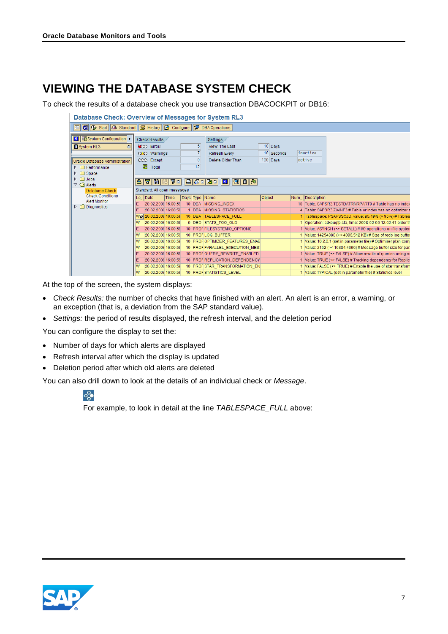# <span id="page-6-0"></span>**VIEWING THE DATABASE SYSTEM CHECK**

To check the results of a database check you use transaction DBACOCKPIT or DB16:

|                                           | Database Check: Overview of Messages for System RL3                                              |                             |      |  |                |                                 |        |              |  |                                                                  |  |  |  |
|-------------------------------------------|--------------------------------------------------------------------------------------------------|-----------------------------|------|--|----------------|---------------------------------|--------|--------------|--|------------------------------------------------------------------|--|--|--|
|                                           | <b>□ 3 ①</b> Start <b>3</b> Standard <b>B</b> History <b>B</b> Configure <b>B</b> DBA Operations |                             |      |  |                |                                 |        |              |  |                                                                  |  |  |  |
| <b>H</b> Eisystem Configuration >         |                                                                                                  | Check Results               |      |  |                | Settings                        |        |              |  |                                                                  |  |  |  |
| 面<br>System RL3                           |                                                                                                  | COO Errors                  |      |  | 5              | View: The Last                  |        | $10$ Days    |  |                                                                  |  |  |  |
|                                           |                                                                                                  | QAO Warnings                |      |  | $\overline{7}$ | <b>Refresh Every</b>            |        | $10$ Seconds |  | inactive                                                         |  |  |  |
| Oracle Database Administration            |                                                                                                  | CCO Except                  |      |  | $\Theta$       | Delete Older Than               |        | $100$ Davs   |  | active                                                           |  |  |  |
| $\triangleright$ $\square$ Performance    |                                                                                                  | 晷<br>Total                  |      |  | 12             |                                 |        |              |  |                                                                  |  |  |  |
| $\triangleright$ $\square$ Space          |                                                                                                  |                             |      |  |                |                                 |        |              |  |                                                                  |  |  |  |
| $\triangleright$ $\Box$ Jobs              |                                                                                                  |                             |      |  |                | 87 HOLD DOGGED BANK HOLD A      |        |              |  |                                                                  |  |  |  |
| $\triangledown$ $\bigodot$ Alerts         |                                                                                                  |                             |      |  |                |                                 |        |              |  |                                                                  |  |  |  |
| Database Check<br><b>Check Conditions</b> |                                                                                                  | Standard: All open messages |      |  |                |                                 |        |              |  |                                                                  |  |  |  |
| <b>Alert Monitor</b>                      | Le                                                                                               | Date                        | Time |  |                | Days Type Name                  | Object |              |  | Num Description                                                  |  |  |  |
| $\triangleright$ $\square$ Diagnostics    | Е                                                                                                | 20.02.2008 16:00:59         |      |  |                | 10 DBA MISSING INDEX            |        |              |  | 10 Table: SAPSR3.TESTDATRNRPART0 # Table has no index            |  |  |  |
|                                           | Е                                                                                                | 20.02.2008 16:00:59         |      |  |                | 1 DBA MISSING_STATISTICS        |        |              |  | 4 Table: SAPSR3.ZIAINF3 # Table or index has no optimizer s      |  |  |  |
|                                           |                                                                                                  | Wel 20.02.2008 16:00:59     |      |  |                | 10 DBA TABLESPACE FULL          |        |              |  | 1 Tablespace: PSAPSSQJD, value: 95.49% (> 95%) # Tables          |  |  |  |
|                                           | w                                                                                                | 20.02.2008 16:00:59         |      |  |                | 5 DBO STATS TOO OLD             |        |              |  | 1 Operation: cdxeuqfp.sta, time: 2008-02-05 12.02.41 older th    |  |  |  |
|                                           | Ε                                                                                                | 20.02.2008 16:00:59         |      |  |                | 10 PROF FILESYSTEMIO OPTIONS    |        |              |  | 1 Value: ASYNCH (<> SETALL) # I/O operations on file system      |  |  |  |
|                                           | w                                                                                                | 20.02.2008 16:00:59         |      |  |                | 10 PROFLOG BUFFER               |        |              |  | 1 Value: 14254080 (>< 4096,512 KB) # Size of redo log buffer     |  |  |  |
|                                           | ١w                                                                                               | 20.02.2008 16:00:59         |      |  |                | 10 PROFOPTIMIZER FEATURES ENAB  |        |              |  | 1 Value: 10.2.0.1 (set in parameter file) # Optimizer plan comp  |  |  |  |
|                                           | lw                                                                                               | 20.02.2008 16:00:59         |      |  |                | 10 PROF PARALLEL_EXECUTION_MESS |        |              |  | 1 Value: 2152 (>< 16384.4096) # Message buffer size for parallel |  |  |  |
|                                           | Е                                                                                                | 20.02.2008 16:00:59         |      |  |                | 10 PROF QUERY_REWRITE_ENABLED   |        |              |  | 1 Value: TRUE (<> FALSE) # Allow rewrite of queries using m      |  |  |  |
|                                           | Е                                                                                                | 20.02.2008 16:00:59         |      |  |                | 10 PROF REPLICATION DEPENDENCY  |        |              |  | 1 Value: TRUE (<> FALSE) # Tracking dependency for Replic:       |  |  |  |
|                                           | w                                                                                                | 20.02.2008 16:00:59         |      |  |                | 10 PROFISTAR TRANSFORMATION EN  |        |              |  | 1 Value: FALSE (<> TRUE) # Enable the use of star transform      |  |  |  |
|                                           | ١w                                                                                               | 20.02.2008 16:00:59         |      |  |                | 10 PROF STATISTICS LEVEL        |        |              |  | 1 Value: TYPICAL (set in parameter file) # Statistics level      |  |  |  |

At the top of the screen, the system displays:

- *Check Results:* the number of checks that have finished with an alert. An alert is an error, a warning, or an exception (that is, a deviation from the SAP standard value).
- *Settings:* the period of results displayed, the refresh interval, and the deletion period

You can configure the display to set the:

- Number of days for which alerts are displayed
- Refresh interval after which the display is updated
- Deletion period after which old alerts are deleted

You can also drill down to look at the details of an individual check or *Message*.

#### $o_{\mathcal{O}}^{\mathcal{O}}$

For example, to look in detail at the line *TABLESPACE\_FULL* above:

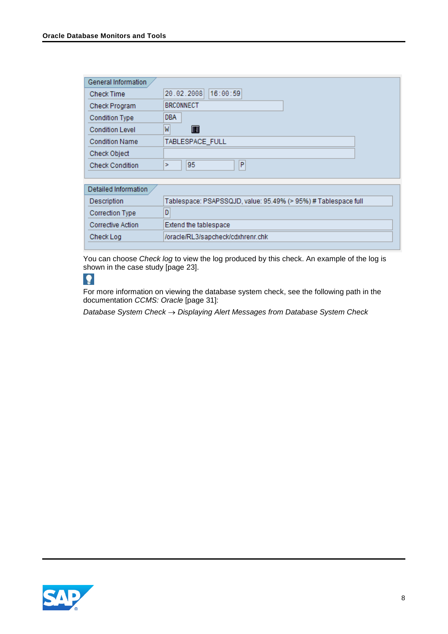| General Information    |                                                                |
|------------------------|----------------------------------------------------------------|
| <b>Check Time</b>      | 16:00:59<br>20.02.2008                                         |
| Check Program          | <b>BRCONNECT</b>                                               |
| <b>Condition Type</b>  | <b>DBA</b>                                                     |
| <b>Condition Level</b> | M<br>$\Box$                                                    |
| <b>Condition Name</b>  | TABLESPACE FULL                                                |
| <b>Check Object</b>    |                                                                |
| <b>Check Condition</b> | P<br>95<br>ь                                                   |
|                        |                                                                |
| Detailed Information   |                                                                |
| Description            | Tablespace: PSAPSSQJD, value: 95.49% (> 95%) # Tablespace full |
| <b>Correction Type</b> | D                                                              |

| <b>CONTROLLATION</b> |                                    |
|----------------------|------------------------------------|
| Corrective Action    | Extend the tablespace              |
| Check Log            | //oracle/RL3/sapcheck/cdxhrenr.chk |
|                      |                                    |

You can choose *Check log* to view the log produced by this check. An example of the log is shown in the case study [page [23\]](#page-22-0).

### $\bullet$

For more information on viewing the database system check, see the following path in the documentation *CCMS: Oracle* [page [31\]](#page-30-0):

*Database System Check Displaying Alert Messages from Database System Check*

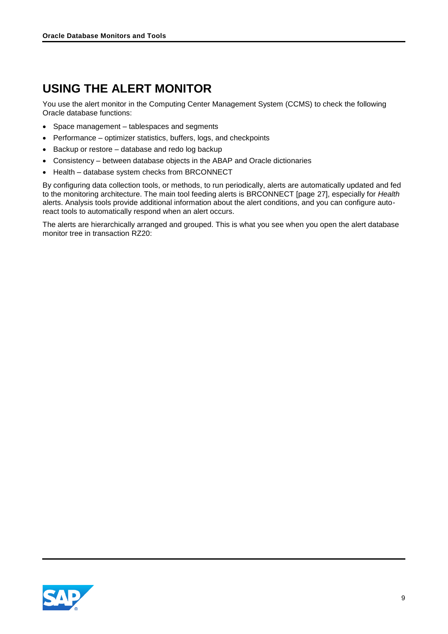# <span id="page-8-0"></span>**USING THE ALERT MONITOR**

You use the alert monitor in the Computing Center Management System (CCMS) to check the following Oracle database functions:

- Space management tablespaces and segments
- Performance optimizer statistics, buffers, logs, and checkpoints
- Backup or restore database and redo log backup
- Consistency between database objects in the ABAP and Oracle dictionaries
- Health database system checks from BRCONNECT

By configuring data collection tools, or methods, to run periodically, alerts are automatically updated and fed to the monitoring architecture. The main tool feeding alerts is BRCONNECT [page [27\]](#page-26-0), especially for *Health* alerts. Analysis tools provide additional information about the alert conditions, and you can configure autoreact tools to automatically respond when an alert occurs.

The alerts are hierarchically arranged and grouped. This is what you see when you open the alert database monitor tree in transaction RZ20:

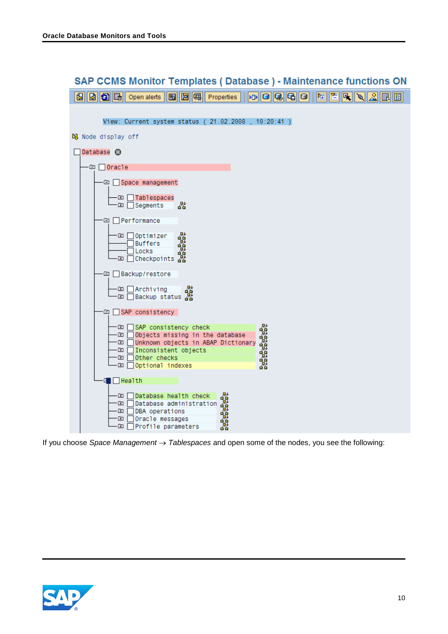

If you choose *Space Management*  $\rightarrow$  Tablespaces and open some of the nodes, you see the following:

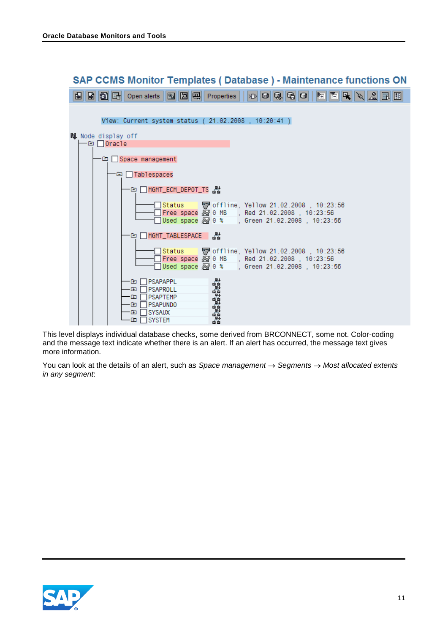

This level displays individual database checks, some derived from BRCONNECT, some not. Color-coding and the message text indicate whether there is an alert. If an alert has occurred, the message text gives more information.

You can look at the details of an alert, such as *Space management*  $\rightarrow$  *Segments*  $\rightarrow$  *Most allocated extents in any segment*:

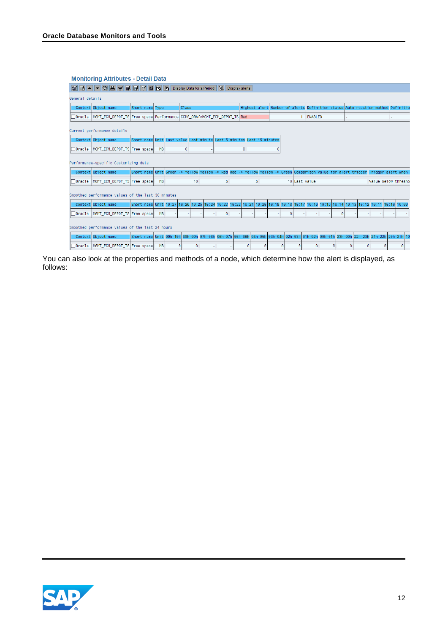#### **Monitoring Attributes - Detail Data**

|               | SE A V G A V B R V B G HB Display Data for a Period Q, Display alerts                            |                                                                                                                                    |           |   |              |    |  |    |  |   |   |   |   |                                                                                 |   |   |                     |   |
|---------------|--------------------------------------------------------------------------------------------------|------------------------------------------------------------------------------------------------------------------------------------|-----------|---|--------------|----|--|----|--|---|---|---|---|---------------------------------------------------------------------------------|---|---|---------------------|---|
|               | General details                                                                                  |                                                                                                                                    |           |   |              |    |  |    |  |   |   |   |   |                                                                                 |   |   |                     |   |
|               | Context Object name                                                                              | Short name Type                                                                                                                    |           |   | <b>Class</b> |    |  |    |  |   |   |   |   | Highest alert Number of alerts Definition status Auto-reaction method Definitio |   |   |                     |   |
|               | □Oracle  MGMT_ECM_DEPOT_TS Free space Performance CCMS_ORAfcMGMT_ECM_DEPOT_TS  <mark>R</mark> ed |                                                                                                                                    |           |   |              |    |  |    |  |   |   |   |   | ENABLED                                                                         |   |   |                     |   |
|               | Current performance details                                                                      |                                                                                                                                    |           |   |              |    |  |    |  |   |   |   |   |                                                                                 |   |   |                     |   |
|               | Context Object name                                                                              | Short name Unit Last value Last minute Last 5 minutes Last 15 minutes                                                              |           |   |              |    |  |    |  |   |   |   |   |                                                                                 |   |   |                     |   |
|               | □ Oracle  MGMT_ECM_DEPOT_TS Free space                                                           |                                                                                                                                    | <b>MB</b> |   |              |    |  |    |  | Θ |   |   |   |                                                                                 |   |   |                     |   |
|               | Performance-specific Customizing data                                                            |                                                                                                                                    |           |   |              |    |  |    |  |   |   |   |   |                                                                                 |   |   |                     |   |
|               | Context Object name                                                                              | Short name Unit Green -> Yellow Yellow -> Red Red -> Yellow Yellow -> Green Comparison value for alert trigger Trigger alert when  |           |   |              |    |  |    |  |   |   |   |   |                                                                                 |   |   |                     |   |
| $\Box$ Oracle | MGMT ECM DEPOT TS Free space                                                                     |                                                                                                                                    | <b>MB</b> |   |              | 10 |  | 5. |  |   | 5 |   |   | 10 Last value                                                                   |   |   | Value below thresho |   |
|               | Smoothed performance values of the last 30 minutes                                               |                                                                                                                                    |           |   |              |    |  |    |  |   |   |   |   |                                                                                 |   |   |                     |   |
|               | Context Object name                                                                              | Short name Unit 10:27 10:26 10:25 10:24 10:23 10:22 10:21 10:20 10:19 10:18 10:17 10:16 10:15 10:14 10:13 10:12 10:11 10:10 10:09  |           |   |              |    |  |    |  |   |   |   |   |                                                                                 |   |   |                     |   |
| ⊟Oracle       | MGMT ECM DEPOT TS Free space                                                                     |                                                                                                                                    | <b>MB</b> |   |              |    |  | Θ  |  |   |   |   | Θ |                                                                                 | o |   |                     |   |
|               | Smoothed performance values of the last 24 hours                                                 |                                                                                                                                    |           |   |              |    |  |    |  |   |   |   |   |                                                                                 |   |   |                     |   |
|               | Context Object name                                                                              | Short name Unit 09h-10h 08h-09h 07h-08h 06h-07h 05h-06h 04h-05h 03h-04h 02h-03h 01h-02h 00h-01h 23h-00h 22h-23h 21h-22h 20h-21h 19 |           |   |              |    |  |    |  |   |   |   |   |                                                                                 |   |   |                     |   |
| $\Box$ Oracle | MGMT_ECM_DEPOT_TS Free space                                                                     |                                                                                                                                    | <b>MB</b> | Θ |              |    |  |    |  |   |   | Θ | Θ | Θ                                                                               |   | A |                     | Θ |

You can also look at the properties and methods of a node, which determine how the alert is displayed, as follows:

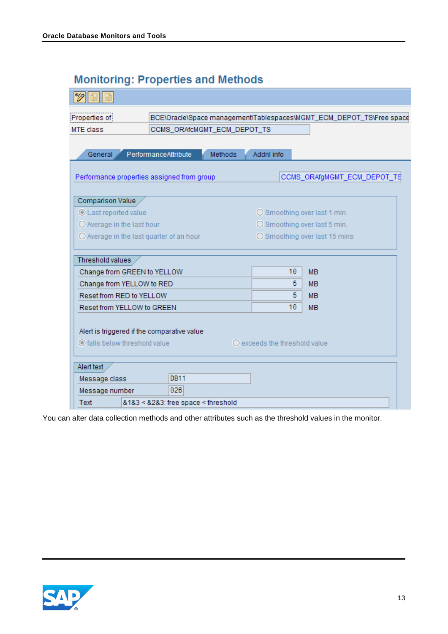# **Monitoring: Properties and Methods**

| Properties of                                     |                |                                        | BCE\Oracle\Space management\Tablespaces\MGMT_ECM_DEPOT_TS\Free space |  |  |  |  |
|---------------------------------------------------|----------------|----------------------------------------|----------------------------------------------------------------------|--|--|--|--|
| <b>MTE</b> class<br>CCMS_ORAfcMGMT_ECM_DEPOT_TS   |                |                                        |                                                                      |  |  |  |  |
|                                                   |                |                                        |                                                                      |  |  |  |  |
| PerformanceAttribute<br>General                   | <b>Methods</b> | Addnl info                             |                                                                      |  |  |  |  |
|                                                   |                |                                        |                                                                      |  |  |  |  |
| Performance properties assigned from group        |                |                                        | CCMS_ORAfgMGMT_ECM_DEPOT_TS                                          |  |  |  |  |
|                                                   |                |                                        |                                                                      |  |  |  |  |
| Comparison Value                                  |                |                                        |                                                                      |  |  |  |  |
| <b>C</b> Last reported value                      |                |                                        | ○ Smoothing over last 1 min.                                         |  |  |  |  |
| O Average in the last hour                        |                | ○ Smoothing over last 5 min.           |                                                                      |  |  |  |  |
| $\bigcirc$ Average in the last quarter of an hour |                | ◯ Smoothing over last 15 mins          |                                                                      |  |  |  |  |
|                                                   |                |                                        |                                                                      |  |  |  |  |
| Threshold values                                  |                |                                        |                                                                      |  |  |  |  |
| Change from GREEN to YELLOW                       |                | 10                                     | <b>MB</b>                                                            |  |  |  |  |
| Change from YELLOW to RED                         |                | 5.                                     | <b>MB</b>                                                            |  |  |  |  |
| Reset from RED to YELLOW                          |                | 5.                                     | <b>MB</b>                                                            |  |  |  |  |
| Reset from YELLOW to GREEN                        |                | 10                                     | <b>MB</b>                                                            |  |  |  |  |
|                                                   |                |                                        |                                                                      |  |  |  |  |
| Alert is triggered if the comparative value       |                |                                        |                                                                      |  |  |  |  |
| lails below threshold value                       |                | $\bigcirc$ exceeds the threshold value |                                                                      |  |  |  |  |
|                                                   |                |                                        |                                                                      |  |  |  |  |
| Alert text                                        |                |                                        |                                                                      |  |  |  |  |
| <b>DB11</b><br>Message class                      |                |                                        |                                                                      |  |  |  |  |
| 026<br>Message number                             |                |                                        |                                                                      |  |  |  |  |
| &1&3 < &2&3: free space < threshold<br>Text       |                |                                        |                                                                      |  |  |  |  |

You can alter data collection methods and other attributes such as the threshold values in the monitor.

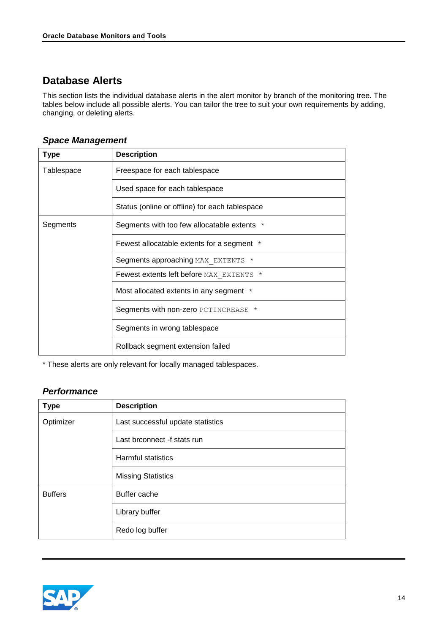### <span id="page-13-0"></span>**Database Alerts**

This section lists the individual database alerts in the alert monitor by branch of the monitoring tree. The tables below include all possible alerts. You can tailor the tree to suit your own requirements by adding, changing, or deleting alerts.

#### <span id="page-13-1"></span>*Space Management*

| <b>Type</b> | <b>Description</b>                              |
|-------------|-------------------------------------------------|
| Tablespace  | Freespace for each tablespace                   |
|             | Used space for each tablespace                  |
|             | Status (online or offline) for each tablespace  |
| Segments    | Segments with too few allocatable extents $*$   |
|             | Fewest allocatable extents for a segment $*$    |
|             | Segments approaching MAX EXTENTS *              |
|             | <b>Fewest extents left before MAX EXTENTS *</b> |
|             | Most allocated extents in any segment *         |
|             | Segments with non-zero PCTINCREASE *            |
|             | Segments in wrong tablespace                    |
|             | Rollback segment extension failed               |

\* These alerts are only relevant for locally managed tablespaces.

#### <span id="page-13-2"></span>*Performance*

| <b>Type</b>    | <b>Description</b>                |
|----------------|-----------------------------------|
| Optimizer      | Last successful update statistics |
|                | Last brconnect -f stats run       |
|                | Harmful statistics                |
|                | <b>Missing Statistics</b>         |
| <b>Buffers</b> | Buffer cache                      |
|                | Library buffer                    |
|                | Redo log buffer                   |

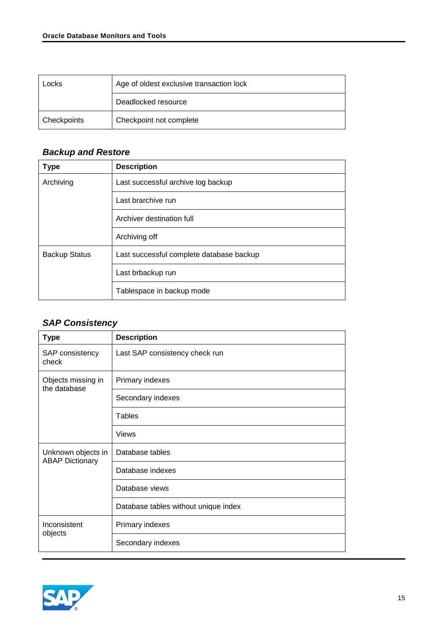| Locks              | Age of oldest exclusive transaction lock |
|--------------------|------------------------------------------|
|                    | Deadlocked resource                      |
| <b>Checkpoints</b> | Checkpoint not complete                  |

#### <span id="page-14-0"></span>*Backup and Restore*

| <b>Type</b>          | <b>Description</b>                       |  |
|----------------------|------------------------------------------|--|
| Archiving            | Last successful archive log backup       |  |
|                      | Last brarchive run                       |  |
|                      | Archiver destination full                |  |
|                      | Archiving off                            |  |
| <b>Backup Status</b> | Last successful complete database backup |  |
|                      | Last brbackup run                        |  |
|                      | Tablespace in backup mode                |  |

### <span id="page-14-1"></span>*SAP Consistency*

| <b>Type</b>                                  | <b>Description</b>                   |  |  |
|----------------------------------------------|--------------------------------------|--|--|
| SAP consistency<br>check                     | Last SAP consistency check run       |  |  |
| Objects missing in<br>the database           | Primary indexes                      |  |  |
|                                              | Secondary indexes                    |  |  |
|                                              | <b>Tables</b>                        |  |  |
|                                              | Views                                |  |  |
| Unknown objects in<br><b>ABAP Dictionary</b> | Database tables                      |  |  |
|                                              | Database indexes                     |  |  |
|                                              | Database views                       |  |  |
|                                              | Database tables without unique index |  |  |
| Inconsistent<br>objects                      | Primary indexes                      |  |  |
|                                              | Secondary indexes                    |  |  |

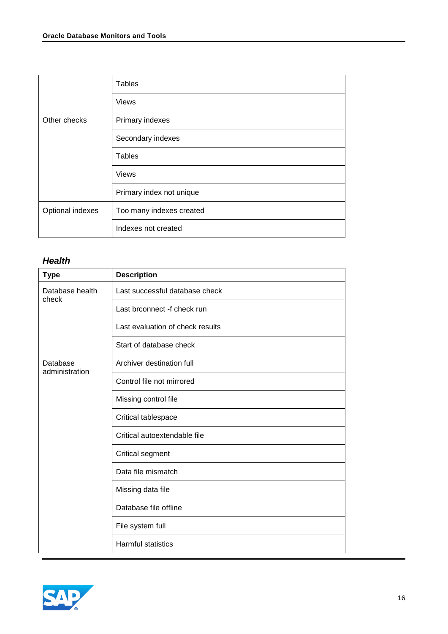| <b>Tables</b>            |  |
|--------------------------|--|
| <b>Views</b>             |  |
| Primary indexes          |  |
| Secondary indexes        |  |
| <b>Tables</b>            |  |
| <b>Views</b>             |  |
| Primary index not unique |  |
| Too many indexes created |  |
| Indexes not created      |  |
|                          |  |

#### <span id="page-15-0"></span>*Health*

| <b>Type</b>                | <b>Description</b>               |  |  |
|----------------------------|----------------------------------|--|--|
| Database health<br>check   | Last successful database check   |  |  |
|                            | Last brconnect -f check run      |  |  |
|                            | Last evaluation of check results |  |  |
|                            | Start of database check          |  |  |
| Database<br>administration | Archiver destination full        |  |  |
|                            | Control file not mirrored        |  |  |
|                            | Missing control file             |  |  |
|                            | Critical tablespace              |  |  |
|                            | Critical autoextendable file     |  |  |
|                            | Critical segment                 |  |  |
|                            | Data file mismatch               |  |  |
|                            | Missing data file                |  |  |
|                            | Database file offline            |  |  |
|                            | File system full                 |  |  |
|                            | <b>Harmful statistics</b>        |  |  |

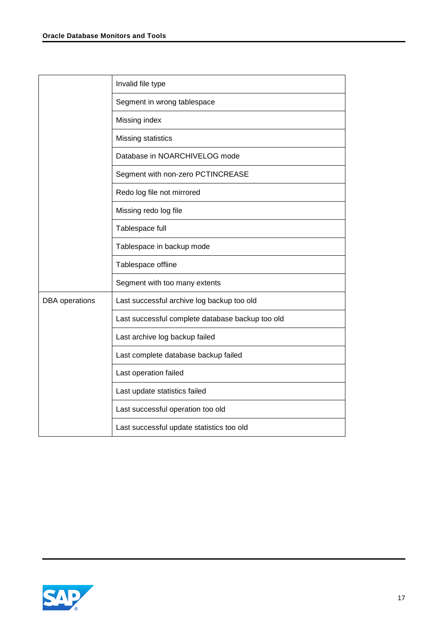|                       | Invalid file type                                |
|-----------------------|--------------------------------------------------|
|                       | Segment in wrong tablespace                      |
|                       | Missing index                                    |
|                       | Missing statistics                               |
|                       | Database in NOARCHIVELOG mode                    |
|                       | Segment with non-zero PCTINCREASE                |
|                       | Redo log file not mirrored                       |
|                       | Missing redo log file                            |
|                       | Tablespace full                                  |
|                       | Tablespace in backup mode                        |
|                       | Tablespace offline                               |
|                       | Segment with too many extents                    |
| <b>DBA</b> operations | Last successful archive log backup too old       |
|                       | Last successful complete database backup too old |
|                       | Last archive log backup failed                   |
|                       | Last complete database backup failed             |
|                       | Last operation failed                            |
|                       | Last update statistics failed                    |
|                       | Last successful operation too old                |
|                       | Last successful update statistics too old        |

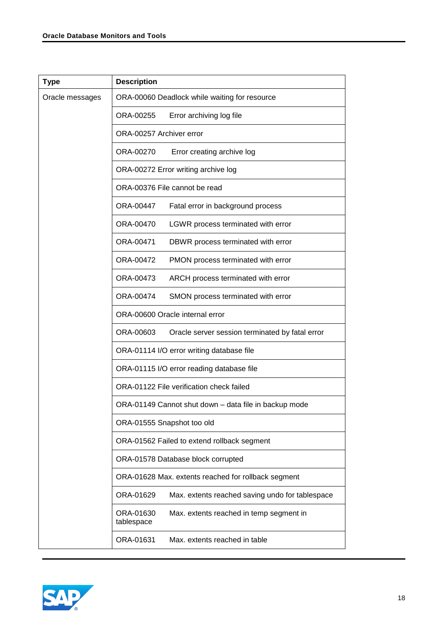| <b>Type</b>     | <b>Description</b>                                                 |  |  |
|-----------------|--------------------------------------------------------------------|--|--|
| Oracle messages | ORA-00060 Deadlock while waiting for resource                      |  |  |
|                 | ORA-00255<br>Error archiving log file                              |  |  |
|                 | ORA-00257 Archiver error                                           |  |  |
|                 | ORA-00270<br>Error creating archive log                            |  |  |
|                 | ORA-00272 Error writing archive log                                |  |  |
|                 | ORA-00376 File cannot be read                                      |  |  |
|                 | ORA-00447<br>Fatal error in background process                     |  |  |
|                 | ORA-00470<br>LGWR process terminated with error                    |  |  |
|                 | ORA-00471<br>DBWR process terminated with error                    |  |  |
|                 | ORA-00472<br>PMON process terminated with error                    |  |  |
|                 | ORA-00473<br>ARCH process terminated with error                    |  |  |
|                 | ORA-00474<br>SMON process terminated with error                    |  |  |
|                 | ORA-00600 Oracle internal error                                    |  |  |
|                 | ORA-00603<br>Oracle server session terminated by fatal error       |  |  |
|                 | ORA-01114 I/O error writing database file                          |  |  |
|                 | ORA-01115 I/O error reading database file                          |  |  |
|                 | ORA-01122 File verification check failed                           |  |  |
|                 | ORA-01149 Cannot shut down – data file in backup mode              |  |  |
|                 | ORA-01555 Snapshot too old                                         |  |  |
|                 | ORA-01562 Failed to extend rollback segment                        |  |  |
|                 | ORA-01578 Database block corrupted                                 |  |  |
|                 | ORA-01628 Max. extents reached for rollback segment                |  |  |
|                 | ORA-01629<br>Max. extents reached saving undo for tablespace       |  |  |
|                 | ORA-01630<br>Max. extents reached in temp segment in<br>tablespace |  |  |
|                 | ORA-01631<br>Max. extents reached in table                         |  |  |

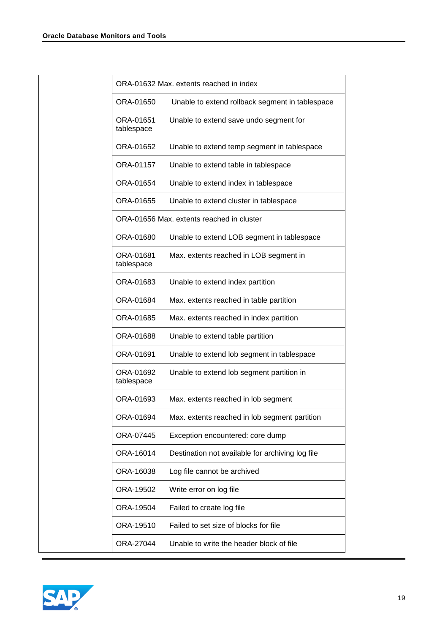|  |                         | ORA-01632 Max, extents reached in index          |
|--|-------------------------|--------------------------------------------------|
|  | ORA-01650               | Unable to extend rollback segment in tablespace  |
|  | ORA-01651<br>tablespace | Unable to extend save undo segment for           |
|  | ORA-01652               | Unable to extend temp segment in tablespace      |
|  | ORA-01157               | Unable to extend table in tablespace             |
|  | ORA-01654               | Unable to extend index in tablespace             |
|  | ORA-01655               | Unable to extend cluster in tablespace           |
|  |                         | ORA-01656 Max. extents reached in cluster        |
|  | ORA-01680               | Unable to extend LOB segment in tablespace       |
|  | ORA-01681<br>tablespace | Max. extents reached in LOB segment in           |
|  | ORA-01683               | Unable to extend index partition                 |
|  | ORA-01684               | Max. extents reached in table partition          |
|  | ORA-01685               | Max. extents reached in index partition          |
|  | ORA-01688               | Unable to extend table partition                 |
|  | ORA-01691               | Unable to extend lob segment in tablespace       |
|  | ORA-01692<br>tablespace | Unable to extend lob segment partition in        |
|  | ORA-01693               | Max. extents reached in lob segment              |
|  | ORA-01694               | Max. extents reached in lob segment partition    |
|  | ORA-07445               | Exception encountered: core dump                 |
|  | ORA-16014               | Destination not available for archiving log file |
|  | ORA-16038               | Log file cannot be archived                      |
|  | ORA-19502               | Write error on log file                          |
|  | ORA-19504               | Failed to create log file                        |
|  | ORA-19510               | Failed to set size of blocks for file            |
|  | ORA-27044               | Unable to write the header block of file         |
|  |                         |                                                  |

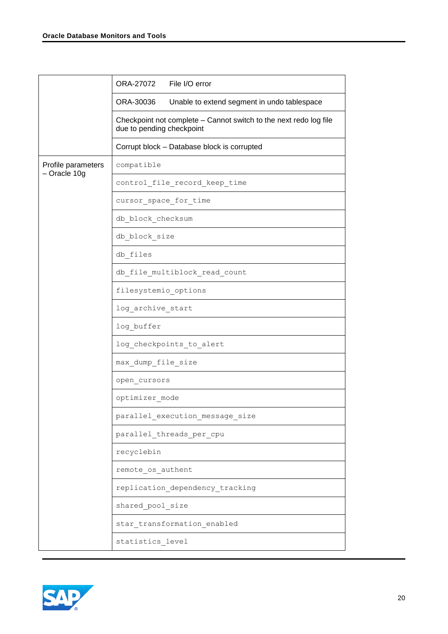|                    | ORA-27072 File I/O error                                                                       |  |
|--------------------|------------------------------------------------------------------------------------------------|--|
|                    | ORA-30036<br>Unable to extend segment in undo tablespace                                       |  |
|                    | Checkpoint not complete - Cannot switch to the next redo log file<br>due to pending checkpoint |  |
|                    | Corrupt block - Database block is corrupted                                                    |  |
| Profile parameters | compatible                                                                                     |  |
| - Oracle 10g       | control_file_record_keep_time                                                                  |  |
|                    | cursor_space_for_time                                                                          |  |
|                    | db block checksum                                                                              |  |
|                    | db block size                                                                                  |  |
|                    | db files                                                                                       |  |
|                    | db file multiblock read count                                                                  |  |
|                    | filesystemio options                                                                           |  |
|                    | log archive start                                                                              |  |
|                    | log buffer                                                                                     |  |
|                    | log checkpoints to alert                                                                       |  |
|                    | max_dump_file_size                                                                             |  |
|                    | open cursors                                                                                   |  |
|                    | optimizer mode                                                                                 |  |
|                    | parallel_execution_message_size                                                                |  |
|                    | parallel_threads_per_cpu                                                                       |  |
|                    | recyclebin                                                                                     |  |
|                    | remote_os_authent                                                                              |  |
|                    | replication_dependency_tracking                                                                |  |
|                    | shared_pool_size                                                                               |  |
|                    | star_transformation_enabled                                                                    |  |
|                    | statistics_level                                                                               |  |

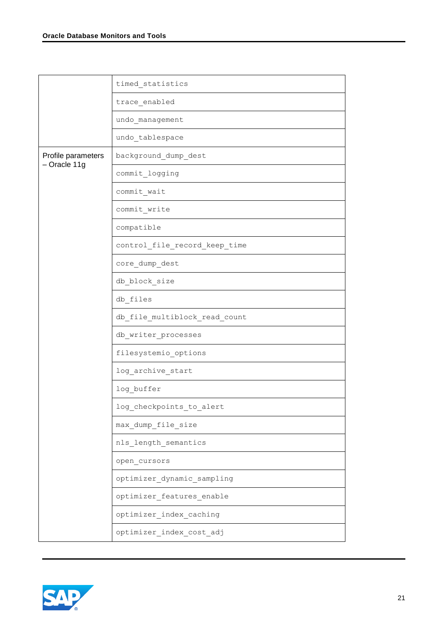|                    | timed statistics                     |
|--------------------|--------------------------------------|
|                    | trace enabled                        |
|                    | undo management                      |
|                    | undo tablespace                      |
| Profile parameters | background_dump_dest                 |
| - Oracle 11g       | commit logging                       |
|                    | commit wait                          |
|                    | commit write                         |
|                    | compatible                           |
|                    | control_file_record_keep_time        |
|                    | core_dump_dest                       |
|                    | db block size                        |
|                    | db files                             |
|                    | db file multiblock read count        |
|                    | db writer processes                  |
|                    | filesystemio options                 |
|                    | log_archive_start                    |
|                    | log buffer                           |
|                    | log_checkpoints_to_alert             |
|                    | max_dump_file_size                   |
|                    | nls_length_semantics                 |
|                    | open_cursors                         |
|                    | ${\tt optimizer\_dynamic\_sampling}$ |
|                    | optimizer_features_enable            |
|                    | ${\tt optimizer\_index\_caching}$    |
|                    | ${\tt optimizer\_index\_cost\_adj}$  |

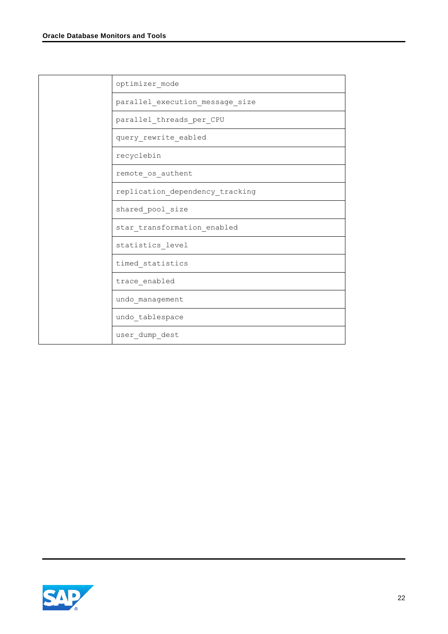| optimizer mode                  |
|---------------------------------|
| parallel_execution_message_size |
| parallel threads per CPU        |
| query_rewrite_eabled            |
| recyclebin                      |
| remote os authent               |
| replication dependency tracking |
| shared pool size                |
| star transformation enabled     |
| statistics level                |
| timed statistics                |
| trace enabled                   |
| undo management                 |
| undo_tablespace                 |
| user dump dest                  |

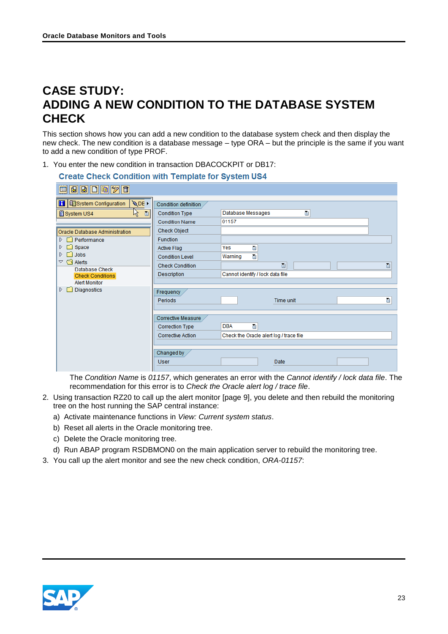# <span id="page-22-0"></span>**CASE STUDY: ADDING A NEW CONDITION TO THE DATABASE SYSTEM CHECK**

This section shows how you can add a new condition to the database system check and then display the new check. The new condition is a database message – type ORA – but the principle is the same if you want to add a new condition of type PROF.

1. You enter the new condition in transaction DBACOCKPIT or DB17:

| <b>Create Check Condition with Template for System US4</b>           |                                                                          |                                                            |  |
|----------------------------------------------------------------------|--------------------------------------------------------------------------|------------------------------------------------------------|--|
| 草日日口日夕日                                                              |                                                                          |                                                            |  |
| <b>QDE</b><br><b>H</b> ESystem Configuration<br>ド<br>日<br>System US4 | Condition definition<br><b>Condition Type</b>                            | Database Messages<br>囼                                     |  |
| Oracle Database Administration                                       | <b>Condition Name</b><br><b>Check Object</b>                             | 01157                                                      |  |
| $\triangleright$ $\square$ Performance                               | Function                                                                 |                                                            |  |
| $\triangleright$ $\square$ Space<br>$\triangleright$ $\square$ Jobs  | <b>Active Flag</b><br><b>Condition Level</b>                             | Ū<br>Yes<br>$\blacksquare$<br>Warning                      |  |
| $\triangledown$ $\bigcirc$ Alerts<br>Database Check                  | <b>Check Condition</b>                                                   | 面<br>Ō                                                     |  |
| <b>Check Conditions</b><br><b>Alert Monitor</b>                      | Description                                                              | Cannot identify / lock data file                           |  |
| <b>Diagnostics</b><br>ÞГ                                             | Frequency<br>Periods                                                     | ū<br>Time unit                                             |  |
|                                                                      | Corrective Measure<br><b>Correction Type</b><br><b>Corrective Action</b> | <b>DBA</b><br>画<br>Check the Oracle alert log / trace file |  |
|                                                                      |                                                                          |                                                            |  |
|                                                                      | Changed by<br><b>User</b>                                                | Date                                                       |  |

The *Condition Name* is *01157*, which generates an error with the *Cannot identify / lock data file*. The recommendation for this error is to *Check the Oracle alert log / trace file*.

- 2. Using transaction RZ20 to call up the alert monitor [page [9\]](#page-8-0), you delete and then rebuild the monitoring tree on the host running the SAP central instance:
	- a) Activate maintenance functions in *View: Current system status*.
	- b) Reset all alerts in the Oracle monitoring tree.
	- c) Delete the Oracle monitoring tree.
	- d) Run ABAP program RSDBMON0 on the main application server to rebuild the monitoring tree.
- 3. You call up the alert monitor and see the new check condition, *ORA-01157*:

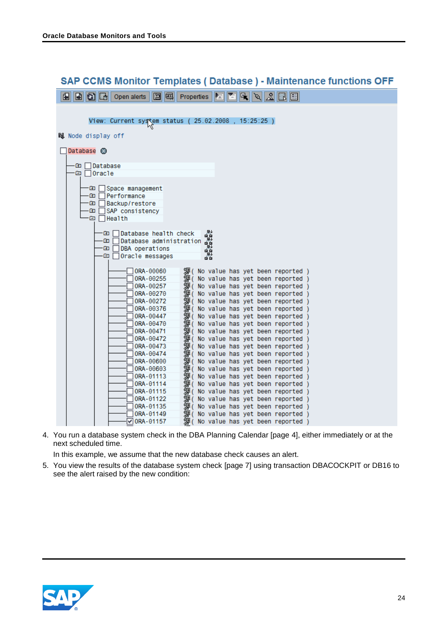| SAP CCMS Monitor Templates ( Database ) - Maintenance functions OFF                                              |
|------------------------------------------------------------------------------------------------------------------|
| 图 B B Dpen alerts<br>HD 5 4 6 5 6<br>图 国 Properties                                                              |
|                                                                                                                  |
| View: Current system status (25.02.2008, 15:25:25)                                                               |
| 闖 Node display off                                                                                               |
| Database <sup>3</sup>                                                                                            |
|                                                                                                                  |
| Database<br>Œ                                                                                                    |
| -⊟∣lOracle                                                                                                       |
| Œ<br>Space management                                                                                            |
| Performance<br>Œ                                                                                                 |
| $\blacksquare$<br>Backup/restore                                                                                 |
| Œ<br>SAP consistency<br>⋳<br>$\Box$ Health                                                                       |
|                                                                                                                  |
| 뤏<br>Database health check<br>Œ                                                                                  |
| $\mathbf{E}$<br>Database administration<br>顫                                                                     |
| $\mathbf{F}$<br>DBA operations<br>鹭<br>$\Box$ Oracle messages<br>G                                               |
| ब ब                                                                                                              |
| 0RA-00060<br>獅( No value has yet been reported )                                                                 |
| ORA-00255<br><sup>g</sup> ( No value has yet been reported )                                                     |
| 獅( No value has yet been reported )<br>ORA-00257<br><sup>g</sup> ( No value has yet been reported )              |
| ORA-00270<br>獅( No value has yet been reported )<br>ORA-00272                                                    |
| 獅( No value has yet been reported )<br>ORA-00376                                                                 |
| 獅( No value has yet been reported )<br>ORA-00447                                                                 |
| 獅( No value has yet been reported )<br>ORA-00470                                                                 |
| 獅( No value has yet been reported )<br>0RA-00471                                                                 |
| 獅( No value has yet been reported )<br>ORA-00472<br><sup>g</sup> ( No value has yet been reported )<br>0RA-00473 |
| 獅( No value has yet been reported )<br>0RA-00474                                                                 |
| 顰( No value has yet been reported )<br>0RA-00600                                                                 |
| 獅( No value has yet been reported )<br>ORA-00603                                                                 |
| 獅( No value has yet been reported )<br>顰( No value has yet been reported )<br>ORA-01113                          |
| ORA-01114<br>嬃( No value has yet been reported )<br>ORA-01115                                                    |
| ORA-01122                                                                                                        |
| 獅( No value has yet been reported )<br>獅( No value has yet been reported )<br>ORA-01135                          |
| 嬃(<br>No value has yet been reported )<br>ORA-01149                                                              |
| 嬃(<br>$\sqrt{0}$ RA-01157<br>No value has yet been reported)                                                     |

#### $\sim$   $\sim$   $\sim$   $\sim$   $\sim$   $\sim$   $\sim$ ÷. ÷.  $\sim$ ц.

4. You run a database system check in the DBA Planning Calendar [page [4\]](#page-3-0), either immediately or at the next scheduled time.

In this example, we assume that the new database check causes an alert.

5. You view the results of the database system check [page [7\]](#page-6-0) using transaction DBACOCKPIT or DB16 to see the alert raised by the new condition:

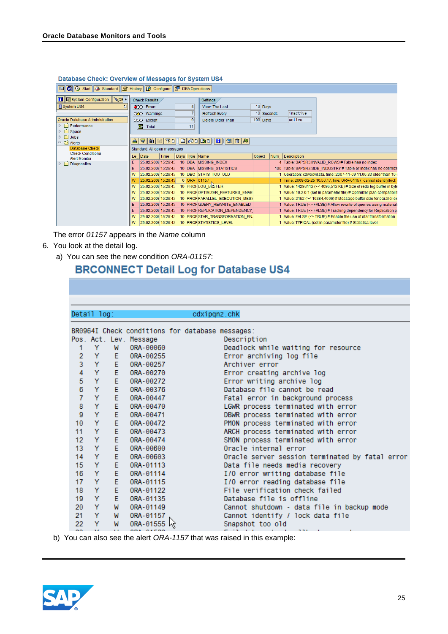| □ 3 G Start 3 Standard S History B Configure 9 DBA Operations     |                        |                             |      |  |    |                                 |              |  |                 |                                                                         |  |
|-------------------------------------------------------------------|------------------------|-----------------------------|------|--|----|---------------------------------|--------------|--|-----------------|-------------------------------------------------------------------------|--|
| <b>H Exystem Configuration</b><br><b>QDE</b>                      | <b>Check Results</b>   |                             |      |  |    | Settings                        |              |  |                 |                                                                         |  |
| System US4<br>Ð                                                   | CO Errors              |                             |      |  |    | View: The Last                  | $10$ Days    |  |                 |                                                                         |  |
|                                                                   |                        | QAO Warnings                |      |  |    | <b>Refresh Every</b>            | $10$ Seconds |  | inactive        |                                                                         |  |
| Oracle Database Administration                                    |                        | CCO Except                  |      |  | Θ  | Delete Older Than               | $100$ Days   |  | active          |                                                                         |  |
| $\triangleright$ $\square$ Performance                            |                        | 宻<br>Total                  |      |  | 11 |                                 |              |  |                 |                                                                         |  |
| D E<br>Space                                                      |                        |                             |      |  |    |                                 |              |  |                 |                                                                         |  |
| $\triangleright$ $\Box$ Jobs<br>$\triangledown$ $\bigodot$ Alerts | 횸                      | 이 메                         |      |  |    | FIECIBING TA                    |              |  |                 |                                                                         |  |
| Database Check                                                    |                        | Standard: All open messages |      |  |    |                                 |              |  |                 |                                                                         |  |
| <b>Check Conditions</b><br><b>Alert Monitor</b>                   | Le                     | Date                        | Time |  |    | Days Type Name                  | Object       |  | Num Description |                                                                         |  |
| $\triangleright$ $\square$ Diagnostics                            |                        | 25.02.2008 15:26:43         |      |  |    | 10 DBA MISSING INDEX            |              |  |                 | 4 Table: SAPSR3.INVALID_ROWS # Table has no index                       |  |
|                                                                   |                        | 25.02.2008 15:26:43         |      |  |    | 10 DBA MISSING STATISTICS       |              |  |                 | 100 Table: SAPSR3.SDB INDUSTRY # Table or index has no optimize         |  |
|                                                                   | W                      | 25.02.2008 15:26:43         |      |  |    | 10 DBO STATS_TOO_OLD            |              |  |                 | 1 Operation: cdwodvjl.sta, time: 2007-11-09 11.00.33 older than 10 (    |  |
|                                                                   |                        | 25.02.2008 15:26:43         |      |  |    | 0 ORA 01157                     |              |  |                 | 1 Time: 2008-02-25 10.50.17, line: ORA-01157: cannot identify/lock (    |  |
|                                                                   | W                      | 25.02.2008 15:26:43         |      |  |    | 10 PROFLOG BOFFER               |              |  |                 | 1 Value: 14298112 (>< 4096,512 KB) # Size of redo log buffer in byte    |  |
|                                                                   | W                      | 25.02.2008 15:26:43         |      |  |    | 10 PROFOPTIMIZER FEATURES ENAB  |              |  |                 | 1 Value: 10.2.0.1 (set in parameter file) # Optimizer plan compatibilit |  |
|                                                                   | W                      | 25.02.2008 15:26:43         |      |  |    | 10 PROF PARALLEL_EXECUTION_MESS |              |  |                 | 1 Value: 2152 (>< 16384.4096) # Message buffer size for parallel ex-    |  |
|                                                                   | Е                      | 25.02.2008 15:26:43         |      |  |    | 10 PROF QUERY REWRITE ENABLED   |              |  |                 | 1 Value: TRUE (<> FALSE) # Allow rewrite of queries using materiali     |  |
|                                                                   | Е                      | 25.02.2008 15:26:43         |      |  |    | 10 PROF REPLICATION_DEPENDENCY  |              |  |                 | 1 Value: TRUE (<> FALSE) # Tracking dependency for Replication p:       |  |
|                                                                   | lw                     | 25.02.2008 15:26:43         |      |  |    | 10 PROFISTAR TRANSFORMATION EN. |              |  |                 | 1 Value: FALSE (<> TRUE) # Enable the use of star transformation        |  |
|                                                                   | $\mathsf{I}\mathsf{w}$ | 25.02.2008 15:26:43         |      |  |    | 10 PROF STATISTICS_LEVEL        |              |  |                 | 1 Value: TYPICAL (set in parameter file) # Statistics level             |  |

#### Database Check: Overview of Messages for System US4

The error *01157* appears in the *Name* column

- 6. You look at the detail log.
	- a) You can see the new condition *ORA-01157*:

## **BRCONNECT Detail Log for Database US4**

|                | Detail log: |    |                        | cdxipgnz.chk                                                                                                                                                                                                                                                                                                                                                                                                                                                               |
|----------------|-------------|----|------------------------|----------------------------------------------------------------------------------------------------------------------------------------------------------------------------------------------------------------------------------------------------------------------------------------------------------------------------------------------------------------------------------------------------------------------------------------------------------------------------|
|                |             |    |                        | BR0964I Check conditions for database messages:                                                                                                                                                                                                                                                                                                                                                                                                                            |
|                |             |    | Pos. Act. Lev. Message | Description                                                                                                                                                                                                                                                                                                                                                                                                                                                                |
| 1              | Y           | W  | ORA-00060              | Deadlock while waiting for resource                                                                                                                                                                                                                                                                                                                                                                                                                                        |
| $\overline{2}$ | Y           | E. | ORA-00255              | Error archiving log file                                                                                                                                                                                                                                                                                                                                                                                                                                                   |
| 3              | Y           | E. | ORA-00257              | Archiver error                                                                                                                                                                                                                                                                                                                                                                                                                                                             |
| $\overline{4}$ | Y           | E. | ORA-00270              | Error creating archive log                                                                                                                                                                                                                                                                                                                                                                                                                                                 |
| 5              | Y           | E. | ORA-00272              | Error writing archive log                                                                                                                                                                                                                                                                                                                                                                                                                                                  |
| 6              | Y           | E. | ORA-00376              | Database file cannot be read                                                                                                                                                                                                                                                                                                                                                                                                                                               |
| $\overline{7}$ | Y           | E. | ORA-00447              | Fatal error in background process                                                                                                                                                                                                                                                                                                                                                                                                                                          |
| 8              | Y           | E. | ORA-00470              | LGWR process terminated with error                                                                                                                                                                                                                                                                                                                                                                                                                                         |
| 9              | Y           | E. | ORA-00471              | DBWR process terminated with error                                                                                                                                                                                                                                                                                                                                                                                                                                         |
| 10             | Y           | Ė. | ORA-00472              | PMON process terminated with error                                                                                                                                                                                                                                                                                                                                                                                                                                         |
| 11             | Y           | E. | ORA-00473              | ARCH process terminated with error                                                                                                                                                                                                                                                                                                                                                                                                                                         |
| 12             | Y           | E. | ORA-00474              | SMON process terminated with error                                                                                                                                                                                                                                                                                                                                                                                                                                         |
| 13             | Y           | E. | ORA-00600              | Oracle internal error                                                                                                                                                                                                                                                                                                                                                                                                                                                      |
| 14             | Y           | E. | ORA-00603              | Oracle server session terminated by fatal error                                                                                                                                                                                                                                                                                                                                                                                                                            |
| 15             | Y           | E. | ORA-01113              | Data file needs media recovery                                                                                                                                                                                                                                                                                                                                                                                                                                             |
| 16             | Y           | E. | ORA-01114              | I/O error writing database file                                                                                                                                                                                                                                                                                                                                                                                                                                            |
| 17             | Y           | E. | ORA-01115              | I/O error reading database file                                                                                                                                                                                                                                                                                                                                                                                                                                            |
| 18             | Y           | E. | ORA-01122              | File verification check failed                                                                                                                                                                                                                                                                                                                                                                                                                                             |
| 19             | Y           | E. | ORA-01135              | Database file is offline                                                                                                                                                                                                                                                                                                                                                                                                                                                   |
| 20             | Y           | W  | ORA-01149              | Cannot shutdown - data file in backup mode                                                                                                                                                                                                                                                                                                                                                                                                                                 |
| 21             | Y           | M  | ORA-01157              | Cannot identify / lock data file                                                                                                                                                                                                                                                                                                                                                                                                                                           |
| 22             | Y           | M  | 0RA-01555 km           | Snapshot too old                                                                                                                                                                                                                                                                                                                                                                                                                                                           |
| $\sim$ $\sim$  | $\sim$      |    | $\overline{a}$         | $\frac{1}{2} \left( \frac{1}{2} \right) \left( \frac{1}{2} \right) \left( \frac{1}{2} \right) \left( \frac{1}{2} \right) \left( \frac{1}{2} \right) \left( \frac{1}{2} \right) \left( \frac{1}{2} \right) \left( \frac{1}{2} \right) \left( \frac{1}{2} \right) \left( \frac{1}{2} \right) \left( \frac{1}{2} \right) \left( \frac{1}{2} \right) \left( \frac{1}{2} \right) \left( \frac{1}{2} \right) \left( \frac{1}{2} \right) \left( \frac{1}{2} \right) \left( \frac$ |

b) You can also see the alert *ORA-1157* that was raised in this example:

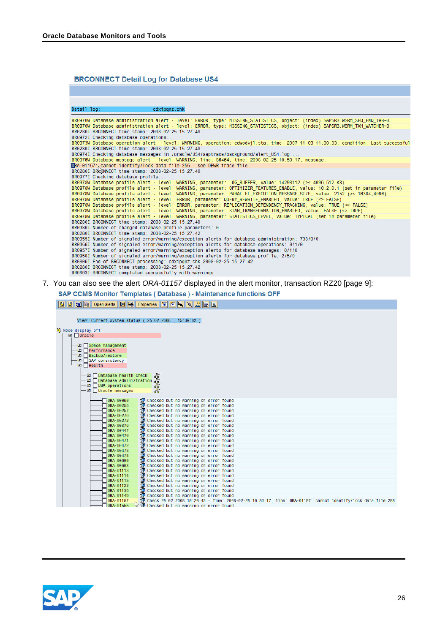#### **BRCONNECT Detail Log for Database US4**

| Detail log:<br>cdxipgnz.chk<br>BR0970W Database administration alert - level: ERROR, type: MISSING_STATISTICS, object: (index) SAPSR3.WSRM_SEQ_ENQ_TAB~0<br>BR0970W Database administration alert - level: ERROR, type: MISSING STATISTICS, object: (index) SAPSR3.WSRM_TXH_WATCHER~0<br>BR0280I BRCONNECT time stamp: 2008-02-25 15.27.40<br>BR0972I Checking database operations<br>BR0973W Database operation alert - level: WARNING, operation: cdwodvjl.sta, time: 2007-11-09 11.00.33, condition: Last successful<br>BR0280I BRCONNECT time stamp: 2008-02-25 15.27.40<br>BR0974I Checking database messages in /oracle/US4/saptrace/background/alert_US4.log<br>BR0976W Database message alert - level: WARNING, line: 86464, time: 2008-02-25 10.50.17, message:<br>ORA-01157: cannot identify/lock data file 255 - see DBWR trace file<br>BR0280I BROONNECT time stamp: 2008-02-25 15.27.40<br>BR0977I Checking database profile<br>BR0978W Database profile alert - level: WARNING, parameter: LOG_BUFFER, value: 14298112 (>< 4096,512 KB)<br>BR0978W Database profile alert - level: WARNING, parameter: OPTIMIZER_FEATURES_ENABLE, value: 10.2.0.1 (set in parameter file)<br>BR0978W Database profile alert - level: WARNING, parameter: PARALLEL EXECUTION MESSAGE SIZE, value: 2152 (>< 16384,4096)<br>BR0978W Database profile alert - level: ERROR, parameter: QUERY REWRITE ENABLED, value: TRUE (<> FALSE)<br>BR0978W Database profile alert - level: ERROR, parameter: REPLICATION_DEPENDENCY_TRACKING, value: TRUE (<> FALSE) |
|-----------------------------------------------------------------------------------------------------------------------------------------------------------------------------------------------------------------------------------------------------------------------------------------------------------------------------------------------------------------------------------------------------------------------------------------------------------------------------------------------------------------------------------------------------------------------------------------------------------------------------------------------------------------------------------------------------------------------------------------------------------------------------------------------------------------------------------------------------------------------------------------------------------------------------------------------------------------------------------------------------------------------------------------------------------------------------------------------------------------------------------------------------------------------------------------------------------------------------------------------------------------------------------------------------------------------------------------------------------------------------------------------------------------------------------------------------------------------------------------------------------------------------------------------------|
|                                                                                                                                                                                                                                                                                                                                                                                                                                                                                                                                                                                                                                                                                                                                                                                                                                                                                                                                                                                                                                                                                                                                                                                                                                                                                                                                                                                                                                                                                                                                                     |
|                                                                                                                                                                                                                                                                                                                                                                                                                                                                                                                                                                                                                                                                                                                                                                                                                                                                                                                                                                                                                                                                                                                                                                                                                                                                                                                                                                                                                                                                                                                                                     |
|                                                                                                                                                                                                                                                                                                                                                                                                                                                                                                                                                                                                                                                                                                                                                                                                                                                                                                                                                                                                                                                                                                                                                                                                                                                                                                                                                                                                                                                                                                                                                     |
|                                                                                                                                                                                                                                                                                                                                                                                                                                                                                                                                                                                                                                                                                                                                                                                                                                                                                                                                                                                                                                                                                                                                                                                                                                                                                                                                                                                                                                                                                                                                                     |
|                                                                                                                                                                                                                                                                                                                                                                                                                                                                                                                                                                                                                                                                                                                                                                                                                                                                                                                                                                                                                                                                                                                                                                                                                                                                                                                                                                                                                                                                                                                                                     |
|                                                                                                                                                                                                                                                                                                                                                                                                                                                                                                                                                                                                                                                                                                                                                                                                                                                                                                                                                                                                                                                                                                                                                                                                                                                                                                                                                                                                                                                                                                                                                     |
|                                                                                                                                                                                                                                                                                                                                                                                                                                                                                                                                                                                                                                                                                                                                                                                                                                                                                                                                                                                                                                                                                                                                                                                                                                                                                                                                                                                                                                                                                                                                                     |
|                                                                                                                                                                                                                                                                                                                                                                                                                                                                                                                                                                                                                                                                                                                                                                                                                                                                                                                                                                                                                                                                                                                                                                                                                                                                                                                                                                                                                                                                                                                                                     |
|                                                                                                                                                                                                                                                                                                                                                                                                                                                                                                                                                                                                                                                                                                                                                                                                                                                                                                                                                                                                                                                                                                                                                                                                                                                                                                                                                                                                                                                                                                                                                     |
|                                                                                                                                                                                                                                                                                                                                                                                                                                                                                                                                                                                                                                                                                                                                                                                                                                                                                                                                                                                                                                                                                                                                                                                                                                                                                                                                                                                                                                                                                                                                                     |
|                                                                                                                                                                                                                                                                                                                                                                                                                                                                                                                                                                                                                                                                                                                                                                                                                                                                                                                                                                                                                                                                                                                                                                                                                                                                                                                                                                                                                                                                                                                                                     |
|                                                                                                                                                                                                                                                                                                                                                                                                                                                                                                                                                                                                                                                                                                                                                                                                                                                                                                                                                                                                                                                                                                                                                                                                                                                                                                                                                                                                                                                                                                                                                     |
|                                                                                                                                                                                                                                                                                                                                                                                                                                                                                                                                                                                                                                                                                                                                                                                                                                                                                                                                                                                                                                                                                                                                                                                                                                                                                                                                                                                                                                                                                                                                                     |
|                                                                                                                                                                                                                                                                                                                                                                                                                                                                                                                                                                                                                                                                                                                                                                                                                                                                                                                                                                                                                                                                                                                                                                                                                                                                                                                                                                                                                                                                                                                                                     |
|                                                                                                                                                                                                                                                                                                                                                                                                                                                                                                                                                                                                                                                                                                                                                                                                                                                                                                                                                                                                                                                                                                                                                                                                                                                                                                                                                                                                                                                                                                                                                     |
|                                                                                                                                                                                                                                                                                                                                                                                                                                                                                                                                                                                                                                                                                                                                                                                                                                                                                                                                                                                                                                                                                                                                                                                                                                                                                                                                                                                                                                                                                                                                                     |
|                                                                                                                                                                                                                                                                                                                                                                                                                                                                                                                                                                                                                                                                                                                                                                                                                                                                                                                                                                                                                                                                                                                                                                                                                                                                                                                                                                                                                                                                                                                                                     |
| BR0978W Database profile alert - level: WARNING, parameter: STAR TRANSFORMATION ENABLED, value: FALSE (<> TRUE)                                                                                                                                                                                                                                                                                                                                                                                                                                                                                                                                                                                                                                                                                                                                                                                                                                                                                                                                                                                                                                                                                                                                                                                                                                                                                                                                                                                                                                     |
| BR0978W Database profile alert - level: WARNING, parameter: STATISTICS_LEVEL, value: TYPICAL (set in parameter file)                                                                                                                                                                                                                                                                                                                                                                                                                                                                                                                                                                                                                                                                                                                                                                                                                                                                                                                                                                                                                                                                                                                                                                                                                                                                                                                                                                                                                                |
| BR0280I BRCONNECT time stamp: 2008-02-25 15.27.40                                                                                                                                                                                                                                                                                                                                                                                                                                                                                                                                                                                                                                                                                                                                                                                                                                                                                                                                                                                                                                                                                                                                                                                                                                                                                                                                                                                                                                                                                                   |
| BR0980I Number of changed database profile parameters: 0                                                                                                                                                                                                                                                                                                                                                                                                                                                                                                                                                                                                                                                                                                                                                                                                                                                                                                                                                                                                                                                                                                                                                                                                                                                                                                                                                                                                                                                                                            |
| BR0280I BRCONNECT time stamp: 2008-02-25 15.27.42                                                                                                                                                                                                                                                                                                                                                                                                                                                                                                                                                                                                                                                                                                                                                                                                                                                                                                                                                                                                                                                                                                                                                                                                                                                                                                                                                                                                                                                                                                   |
| BR0955I Number of signaled error/warning/exception alerts for database administration: 738/0/0                                                                                                                                                                                                                                                                                                                                                                                                                                                                                                                                                                                                                                                                                                                                                                                                                                                                                                                                                                                                                                                                                                                                                                                                                                                                                                                                                                                                                                                      |
| BR0956I Number of signaled error/warning/exception alerts for database operations: 0/1/0                                                                                                                                                                                                                                                                                                                                                                                                                                                                                                                                                                                                                                                                                                                                                                                                                                                                                                                                                                                                                                                                                                                                                                                                                                                                                                                                                                                                                                                            |
| BR0957I Number of signaled error/warning/exception alerts for database messages: 0/1/0                                                                                                                                                                                                                                                                                                                                                                                                                                                                                                                                                                                                                                                                                                                                                                                                                                                                                                                                                                                                                                                                                                                                                                                                                                                                                                                                                                                                                                                              |
| BR0958I Number of signaled error/warning/exception alerts for database profile: 2/5/0                                                                                                                                                                                                                                                                                                                                                                                                                                                                                                                                                                                                                                                                                                                                                                                                                                                                                                                                                                                                                                                                                                                                                                                                                                                                                                                                                                                                                                                               |
| BR0806I End of BRCONNECT processing: cdxipqnz.chk 2008-02-25 15.27.42                                                                                                                                                                                                                                                                                                                                                                                                                                                                                                                                                                                                                                                                                                                                                                                                                                                                                                                                                                                                                                                                                                                                                                                                                                                                                                                                                                                                                                                                               |
| BR0280I BRCONNECT time stamp: 2008-02-25 15.27.42<br>RRASSS1 RRCONNECT completed successfully with warnings                                                                                                                                                                                                                                                                                                                                                                                                                                                                                                                                                                                                                                                                                                                                                                                                                                                                                                                                                                                                                                                                                                                                                                                                                                                                                                                                                                                                                                         |

7. You can also see the alert *ORA-01157* displayed in the alert monitor, transaction RZ20 [page [9\]](#page-8-0):

SAP CCMS Monitor Templates (Database) - Maintenance functions OFF

666666

View: Current system status ( 25.02.2008 , 15:39:02 )

|  | M Node display off  |                                  |                                                         |                                                      |                                                                                |  |  |  |  |                                                                                                               |  |
|--|---------------------|----------------------------------|---------------------------------------------------------|------------------------------------------------------|--------------------------------------------------------------------------------|--|--|--|--|---------------------------------------------------------------------------------------------------------------|--|
|  | —⊡ ∏Orac1e          |                                  |                                                         |                                                      |                                                                                |  |  |  |  |                                                                                                               |  |
|  |                     |                                  |                                                         |                                                      |                                                                                |  |  |  |  |                                                                                                               |  |
|  | -⊞ Space management |                                  |                                                         |                                                      |                                                                                |  |  |  |  |                                                                                                               |  |
|  | -⊞ Performance      |                                  |                                                         |                                                      |                                                                                |  |  |  |  |                                                                                                               |  |
|  | -⊞ Backup/restore   |                                  |                                                         |                                                      |                                                                                |  |  |  |  |                                                                                                               |  |
|  | -⊞ SAP consistency  |                                  |                                                         |                                                      |                                                                                |  |  |  |  |                                                                                                               |  |
|  | -⊟ ∏Health          |                                  |                                                         |                                                      |                                                                                |  |  |  |  |                                                                                                               |  |
|  |                     |                                  |                                                         |                                                      |                                                                                |  |  |  |  |                                                                                                               |  |
|  |                     |                                  | -田 Database health check<br>-CD Database administration | <b>BueleyBag</b>                                     |                                                                                |  |  |  |  |                                                                                                               |  |
|  |                     |                                  | -⊞ OBA operations                                       |                                                      |                                                                                |  |  |  |  |                                                                                                               |  |
|  |                     |                                  | -⊡ Oracle messages                                      |                                                      |                                                                                |  |  |  |  |                                                                                                               |  |
|  |                     |                                  |                                                         |                                                      |                                                                                |  |  |  |  |                                                                                                               |  |
|  |                     | $-0$ 0RA - 00060                 |                                                         | <sup>"</sup> Checked but no warning or error found   |                                                                                |  |  |  |  |                                                                                                               |  |
|  |                     | ORA-00255                        |                                                         | <sup>"</sup> Checked but no warning or error found   |                                                                                |  |  |  |  |                                                                                                               |  |
|  |                     | $70RA - 00257$                   |                                                         | <sup>9</sup> Checked but no warning or error found   |                                                                                |  |  |  |  |                                                                                                               |  |
|  |                     | ORA-00270                        |                                                         | <sup>"</sup> Checked but no warning or error found   |                                                                                |  |  |  |  |                                                                                                               |  |
|  |                     | $\n  ORA - 00272\n$              |                                                         | <sup>洞</sup> Checked but no warning or error found   |                                                                                |  |  |  |  |                                                                                                               |  |
|  |                     | $\sqrt{0}$ ORA - 00376           |                                                         | <sup>1</sup> Checked but no warning or error found   |                                                                                |  |  |  |  |                                                                                                               |  |
|  |                     | $\sqrt{0}$ ORA - 00447           |                                                         | <sup> </sup> Checked but no warning or error found   |                                                                                |  |  |  |  |                                                                                                               |  |
|  |                     | $\sqrt{0}$ ORA - 00470           |                                                         | Checked but no warning or error found                |                                                                                |  |  |  |  |                                                                                                               |  |
|  |                     | $70RA - 00471$                   |                                                         | Checked but no warning or error found                |                                                                                |  |  |  |  |                                                                                                               |  |
|  |                     | $70RA - 00472$<br>$70RA - 00473$ |                                                         |                                                      | Checked but no warning or error found                                          |  |  |  |  |                                                                                                               |  |
|  |                     | ORA-00474                        |                                                         |                                                      | Checked but no warning or error found<br>Checked but no warning or error found |  |  |  |  |                                                                                                               |  |
|  |                     | $70RA - 00600$                   |                                                         | Checked but no warning or error found                |                                                                                |  |  |  |  |                                                                                                               |  |
|  |                     | $70RA - 00603$                   |                                                         | <sup> </sup> Checked but no warning or error found   |                                                                                |  |  |  |  |                                                                                                               |  |
|  |                     | $70RA - 01113$                   |                                                         | <sup>"</sup> Checked but no warning or error found   |                                                                                |  |  |  |  |                                                                                                               |  |
|  |                     | $70RA - 01114$                   |                                                         | <sup>"</sup> Checked but no warning or error found   |                                                                                |  |  |  |  |                                                                                                               |  |
|  |                     | ORA-01115                        |                                                         | <sup>jp</sup> Checked but no warning or error found  |                                                                                |  |  |  |  |                                                                                                               |  |
|  |                     | ORA-01122                        |                                                         | <sup>•</sup> Checked but no warning or error found   |                                                                                |  |  |  |  |                                                                                                               |  |
|  |                     | ORA-01135                        |                                                         | <sup>"</sup> Checked but no warning or error found   |                                                                                |  |  |  |  |                                                                                                               |  |
|  |                     | ORA-01149                        |                                                         | <sup>jp</sup> Checked but no warning or error found  |                                                                                |  |  |  |  |                                                                                                               |  |
|  |                     | ORA-01157                        |                                                         |                                                      |                                                                                |  |  |  |  | UP Check 25.02.2008 15:26:43 - Time: 2008-02-25 10.50.17, line: ORA-01157: cannot identify/lock data file 255 |  |
|  |                     | $70RA - 01555$                   |                                                         | k <sup>j</sup> Checked but no warning or error found |                                                                                |  |  |  |  |                                                                                                               |  |

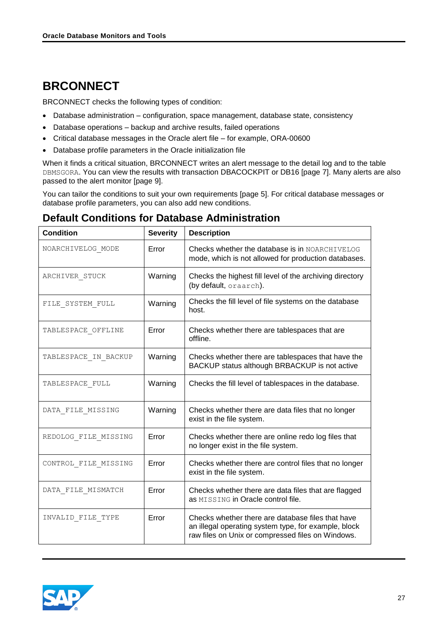# <span id="page-26-0"></span>**BRCONNECT**

BRCONNECT checks the following types of condition:

- Database administration configuration, space management, database state, consistency
- Database operations backup and archive results, failed operations
- Critical database messages in the Oracle alert file for example, ORA-00600
- Database profile parameters in the Oracle initialization file

When it finds a critical situation, BRCONNECT writes an alert message to the detail log and to the table DBMSGORA. You can view the results with transaction DBACOCKPIT or DB16 [page [7\]](#page-6-0). Many alerts are also passed to the alert monitor [page [9\]](#page-8-0).

You can tailor the conditions to suit your own requirements [page [5\]](#page-4-0). For critical database messages or database profile parameters, you can also add new conditions.

### <span id="page-26-1"></span>**Default Conditions for Database Administration**

| <b>Condition</b>     | <b>Severity</b> | <b>Description</b>                                                                                                                                             |
|----------------------|-----------------|----------------------------------------------------------------------------------------------------------------------------------------------------------------|
| NOARCHIVELOG_MODE    | Error           | Checks whether the database is in NOARCHIVELOG<br>mode, which is not allowed for production databases.                                                         |
| ARCHIVER STUCK       | Warning         | Checks the highest fill level of the archiving directory<br>(by default, oraarch).                                                                             |
| FILE SYSTEM FULL     | Warning         | Checks the fill level of file systems on the database<br>host.                                                                                                 |
| TABLESPACE OFFLINE   | Error           | Checks whether there are tablespaces that are<br>offline.                                                                                                      |
| TABLESPACE IN BACKUP | Warning         | Checks whether there are tablespaces that have the<br>BACKUP status although BRBACKUP is not active                                                            |
| TABLESPACE_FULL      | Warning         | Checks the fill level of tablespaces in the database.                                                                                                          |
| DATA_FILE_MISSING    | Warning         | Checks whether there are data files that no longer<br>exist in the file system.                                                                                |
| REDOLOG_FILE_MISSING | Error           | Checks whether there are online redo log files that<br>no longer exist in the file system.                                                                     |
| CONTROL FILE MISSING | Error           | Checks whether there are control files that no longer<br>exist in the file system.                                                                             |
| DATA FILE MISMATCH   | Error           | Checks whether there are data files that are flagged<br>as MISSING in Oracle control file.                                                                     |
| INVALID FILE TYPE    | Error           | Checks whether there are database files that have<br>an illegal operating system type, for example, block<br>raw files on Unix or compressed files on Windows. |

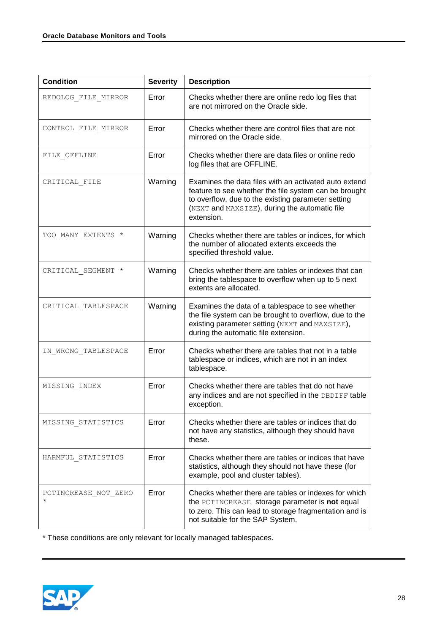| <b>Condition</b>                 | <b>Severity</b> | <b>Description</b>                                                                                                                                                                                                                  |
|----------------------------------|-----------------|-------------------------------------------------------------------------------------------------------------------------------------------------------------------------------------------------------------------------------------|
| REDOLOG FILE MIRROR              | Error           | Checks whether there are online redo log files that<br>are not mirrored on the Oracle side.                                                                                                                                         |
| CONTROL FILE MIRROR              | Error           | Checks whether there are control files that are not<br>mirrored on the Oracle side.                                                                                                                                                 |
| FILE OFFLINE                     | Error           | Checks whether there are data files or online redo<br>log files that are OFFLINE.                                                                                                                                                   |
| CRITICAL FILE                    | Warning         | Examines the data files with an activated auto extend<br>feature to see whether the file system can be brought<br>to overflow, due to the existing parameter setting<br>(NEXT and MAXSIZE), during the automatic file<br>extension. |
| TOO MANY EXTENTS *               | Warning         | Checks whether there are tables or indices, for which<br>the number of allocated extents exceeds the<br>specified threshold value.                                                                                                  |
| CRITICAL SEGMENT *               | Warning         | Checks whether there are tables or indexes that can<br>bring the tablespace to overflow when up to 5 next<br>extents are allocated.                                                                                                 |
| CRITICAL TABLESPACE              | Warning         | Examines the data of a tablespace to see whether<br>the file system can be brought to overflow, due to the<br>existing parameter setting (NEXT and MAXSIZE),<br>during the automatic file extension.                                |
| IN WRONG TABLESPACE              | Error           | Checks whether there are tables that not in a table<br>tablespace or indices, which are not in an index<br>tablespace.                                                                                                              |
| MISSING INDEX                    | Error           | Checks whether there are tables that do not have<br>any indices and are not specified in the DBDIFF table<br>exception.                                                                                                             |
| MISSING STATISTICS               | Error           | Checks whether there are tables or indices that do<br>not have any statistics, although they should have<br>these.                                                                                                                  |
| HARMFUL STATISTICS               | Error           | Checks whether there are tables or indices that have<br>statistics, although they should not have these (for<br>example, pool and cluster tables).                                                                                  |
| PCTINCREASE NOT ZERO<br>$^\star$ | Error           | Checks whether there are tables or indexes for which<br>the PCTINCREASE storage parameter is not equal<br>to zero. This can lead to storage fragmentation and is<br>not suitable for the SAP System.                                |

\* These conditions are only relevant for locally managed tablespaces.

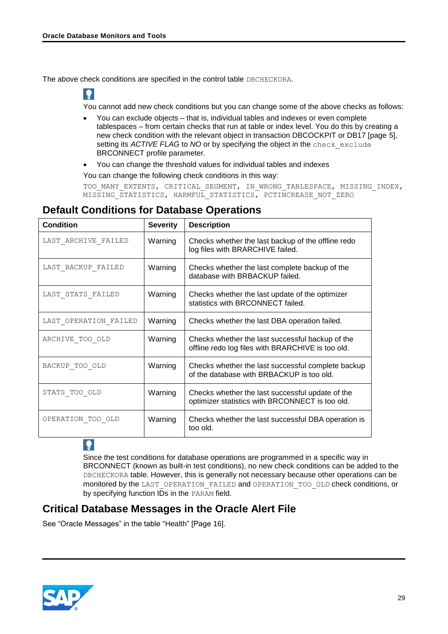$\bullet$ 

The above check conditions are specified in the control table DBCHECKORA.

You cannot add new check conditions but you can change some of the above checks as follows:

- You can exclude objects that is, individual tables and indexes or even complete tablespaces – from certain checks that run at table or index level. You do this by creating a new check condition with the relevant object in transaction DBCOCKPIT or DB17 [page [5\]](#page-4-0), setting its *ACTIVE FLAG* to *NO* or by specifying the object in the check\_exclude BRCONNECT profile parameter.
- You can change the threshold values for individual tables and indexes

You can change the following check conditions in this way:

TOO\_MANY\_EXTENTS, CRITICAL\_SEGMENT, IN\_WRONG\_TABLESPACE, MISSING\_INDEX, MISSING STATISTICS, HARMFUL STATISTICS, PCTINCREASE NOT ZERO

### <span id="page-28-0"></span>**Default Conditions for Database Operations**

| <b>Condition</b>      | <b>Severity</b> | <b>Description</b>                                                                                    |
|-----------------------|-----------------|-------------------------------------------------------------------------------------------------------|
| LAST ARCHIVE FAILED   | Warning         | Checks whether the last backup of the offline redo<br>log files with BRARCHIVE failed.                |
| LAST BACKUP FAILED    | Warning         | Checks whether the last complete backup of the<br>database with BRBACKUP failed.                      |
| LAST_STATS_FAILED     | Warning         | Checks whether the last update of the optimizer<br>statistics with BRCONNECT failed.                  |
| LAST OPERATION FAILED | Warning         | Checks whether the last DBA operation failed.                                                         |
| ARCHIVE TOO OLD       | Warning         | Checks whether the last successful backup of the<br>offline redo log files with BRARCHIVE is too old. |
| BACKUP TOO OLD        | Warning         | Checks whether the last successful complete backup<br>of the database with BRBACKUP is too old.       |
| STATS TOO OLD         | Warning         | Checks whether the last successful update of the<br>optimizer statistics with BRCONNECT is too old.   |
| OPERATION TOO OLD     | Warning         | Checks whether the last successful DBA operation is<br>too old.                                       |

 $\bullet$ 

Since the test conditions for database operations are programmed in a specific way in BRCONNECT (known as built-in test conditions), no new check conditions can be added to the DBCHECKORA table. However, this is generally not necessary because other operations can be monitored by the LAST\_OPERATION\_FAILED and OPERATION\_TOO\_OLD check conditions, or by specifying function IDs in the PARAM field.

### <span id="page-28-1"></span>**Critical Database Messages in the Oracle Alert File**

See "Oracle Messages" in the table ["Health"](#page-15-0) [Page [16\]](#page-15-0).

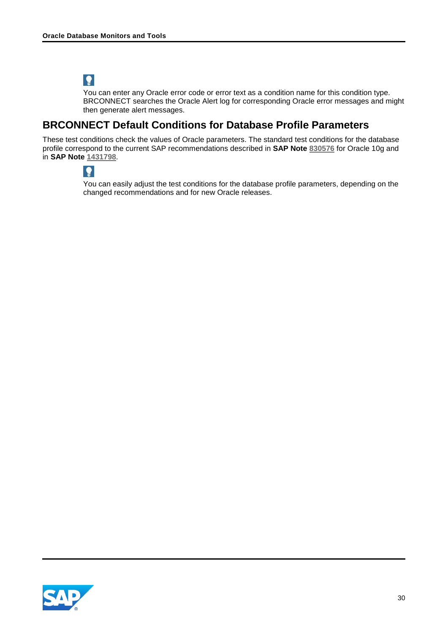# $\bullet$

You can enter any Oracle error code or error text as a condition name for this condition type. BRCONNECT searches the Oracle Alert log for corresponding Oracle error messages and might then generate alert messages.

### <span id="page-29-0"></span>**BRCONNECT Default Conditions for Database Profile Parameters**

These test conditions check the values of Oracle parameters. The standard test conditions for the database profile correspond to the current SAP recommendations described in **SAP Note [830576](http://service.sap.com/sap/support/notes/830576)** for Oracle 10g and in **SAP Note [1431798](http://service.sap.com/sap/support/notes/1431798)**.

 $\bullet$ 

You can easily adjust the test conditions for the database profile parameters, depending on the changed recommendations and for new Oracle releases.

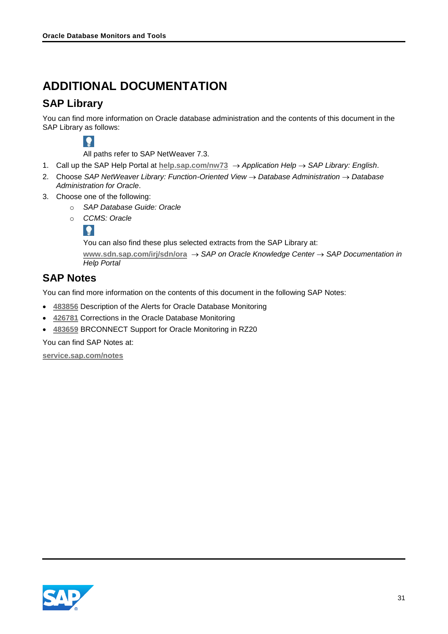# <span id="page-30-0"></span>**ADDITIONAL DOCUMENTATION**

### <span id="page-30-1"></span>**SAP Library**

You can find more information on Oracle database administration and the contents of this document in the SAP Library as follows:



All paths refer to SAP NetWeaver 7.3.

- 1. Call up the SAP Help Portal at **[help.sap.com/nw73](http://help.sap.com/nw73)** *Application Help SAP Library: English*.
- 2. Choose *SAP NetWeaver Library: Function-Oriented View Database Administration Database Administration for Oracle*.
- 3. Choose one of the following:
	- o *SAP Database Guide: Oracle*
	- o *CCMS: Oracle*



You can also find these plus selected extracts from the SAP Library at:

**[www.sdn.sap.com/irj/sdn/ora](http://www.sdn.sap.com/irj/sdn/ora)** *SAP on Oracle Knowledge Center SAP Documentation in Help Portal*

### <span id="page-30-2"></span>**SAP Notes**

You can find more information on the contents of this document in the following SAP Notes:

- **[483856](http://service.sap.com/sap/support/notes/483856)** Description of the Alerts for Oracle Database Monitoring
- **[426781](http://service.sap.com/sap/support/notes/426781)** Corrections in the Oracle Database Monitoring
- **[483659](http://service.sap.com/sap/support/notes/483659)** BRCONNECT Support for Oracle Monitoring in RZ20

You can find SAP Notes at:

**[service.sap.com/notes](http://service.sap.com/notes)**